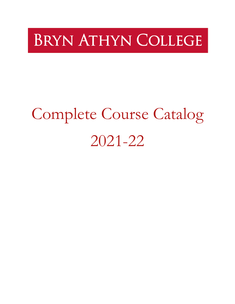# **BRYN ATHYN COLLEGE**

# Complete Course Catalog 2021-22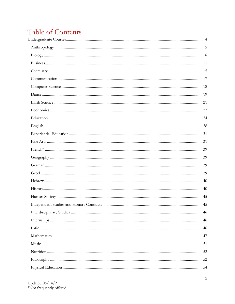## Table of Contents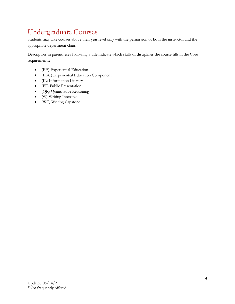## <span id="page-3-0"></span>Undergraduate Courses

Students may take courses above their year level only with the permission of both the instructor and the appropriate department chair.

Descriptors in parentheses following a title indicate which skills or disciplines the course fills in the Core requirements:

- (EE) Experiential Education
- (EEC) Experiential Education Component
- (IL) Information Literacy
- (PP) Public Presentation
- (QR) Quantitative Reasoning
- (W) Writing Intensive
- (WC) Writing Capstone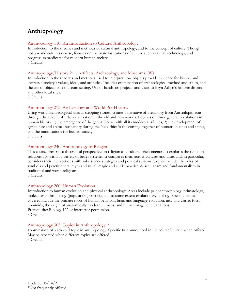## <span id="page-4-0"></span>**Anthropology**

## Anthropology 110. An Introduction to Cultural Anthropology.

Introduction to the theories and methods of cultural anthropology, and to the concept of culture. Though not a world cultures course, focuses on the basic institutions of culture such as ritual, technology, and progress as predicates for modern human society. 3 Credits.

## Anthropology/History 211. Artifacts, Archaeology, and Museums. (W)

Introduction to the theories and methods used to interpret how objects provide evidence for history and express a society's values, ideas, and attitudes. Includes examination of archaeological method and ethics, and the use of objects in a museum setting. Use of hands-on projects and visits to Bryn Athyn's historic district and other local sites.

3 Credits.

## Anthropology 213. Archaeology and World Pre-History.

Using world archaeological sites as stepping stones, creates a narrative of prehistory from Australopithecus through the advent of urban civilization in the old and new worlds. Focuses on three general revolutions in human history: 1) the emergence of the genus Homo with all its modern attributes; 2) the development of agriculture and animal husbandry during the Neolithic; 3) the coming together of humans in cities and states, and the ramifications for human society.

3 Credits.

## Anthropology 240. Anthropology of Religion.

This course presents a theoretical perspective on religion as a cultural phenomenon. It explores the functional relationships within a variety of belief systems. It compares them across cultures and time, and, in particular, considers their intersections with subsistence strategies and political systems. Topics include: the roles of symbols and practitioners, myth and ritual, magic and cultic practice, & secularism and fundamentalism in traditional and world religions.

3 Credits.

## Anthropology 260. Human Evolution.

Introduction to human evolution and physical anthropology. Areas include paleoanthropology, primatology, molecular anthropology (population genetics), and to some extent evolutionary biology. Specific issues covered include the primate roots of human behavior, brain and language evolution, new and classic fossil hominids, the origin of anatomically modern humans, and human biogenetic variations. Prerequisite: Biology 122 or instructor permission. 3 Credits.

## Anthropology 305. Topics in Anthropology. \*

Examination of a selected topic in anthropology. Specific title announced in the course bulletin when offered. May be repeated when different topics are offered. 3 Credits.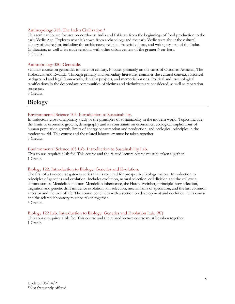## Anthropology 315. The Indus Civilization.\*

This seminar course focuses on northwest India and Pakistan from the beginnings of food production to the early Vedic Age. Explores what is known from archaeology and the early Vedic texts about the cultural history of the region, including the architecture, religion, material culture, and writing system of the Indus Civilization, as well as its trade relations with other urban centers of the greater Near East. 3 Credits.

## Anthropology 320. Genocide.

Seminar course on genocides in the 20th century. Focuses primarily on the cases of Ottoman Armenia, The Holocaust, and Rwanda. Through primary and secondary literature, examines the cultural context, historical background and legal frameworks, denialist projects, and memorializations. Political and psychological ramifications in the descendant communities of victims and victimizers are considered, as well as reparation processes.

3 Credits.

## <span id="page-5-0"></span>**Biology**

## Environmental Science 105. Introduction to Sustainability.

Introductory cross-disciplinary study of the principles of sustainability in the modern world. Topics include: the limits to economic growth, demography and its constraints on economics, ecological implications of human population growth, limits of energy consumption and production, and ecological principles in the modern world. This course and the related laboratory must be taken together. 3 Credits.

## Environmental Science 105 Lab. Introduction to Sustainability Lab.

This course requires a lab fee. This course and the related lecture course must be taken together. 1 Credit.

## Biology 122. Introduction to Biology: Genetics and Evolution.

The first of a two-course gateway series that is required for prospective biology majors. Introduction to principles of genetics and evolution. Includes evolution, natural selection, cell division and the cell cycle, chromosomes, Mendelian and non-Mendelian inheritance, the Hardy-Weinberg principle, how selection, migration and genetic drift influence evolution, kin selection, mechanisms of speciation, and the last common ancestor and the tree of life. The course concludes with a section on development and evolution. This course and the related laboratory must be taken together.

3 Credits.

## Biology 122 Lab. Introduction to Biology: Genetics and Evolution Lab. (W)

This course requires a lab fee. This course and the related lecture course must be taken together. 1 Credit.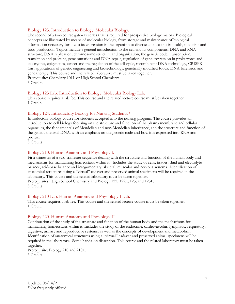## Biology 123. Introduction to Biology: Molecular Biology.

The second of a two-course gateway series that is required for prospective biology majors. Biological concepts are illustrated by means of molecular biology, from storage and maintenance of biological information necessary for life to its expression in the organism to diverse applications in health, medicine and food production. Topics include a general introduction to the cell and its components, DNA and RNA structure, DNA replication, chromosome structure and organization, the genetic code, transcription, translation and proteins, gene mutations and DNA repair, regulation of gene expression in prokaryotes and eukaryotes, epigenetics, cancer and the regulation of the cell cycle, recombinant DNA technology, CRISPR-Cas, applications of genetic engineering and biotechnology, genetically modified foods, DNA forensics, and gene therapy. This course and the related laboratory must be taken together. Prerequisite: Chemistry 101L or High School Chemistry. 3 Credits.

## Biology 123 Lab. Introduction to Biology: Molecular Biology Lab.

This course requires a lab fee. This course and the related lecture course must be taken together. 1 Credit.

## Biology 124. Introductory Biology for Nursing Students.\*

Introductory biology course for students accepted into the nursing program. The course provides an introduction to cell biology focusing on the structure and function of the plasma membrane and cellular organelles, the fundamentals of Mendelian and non-Mendelian inheritance, and the structure and function of the genetic material DNA, with an emphasis on the genetic code and how it is expressed into RNA and protein.

3 Credits.

## Biology 210. Human Anatomy and Physiology I.

First trimester of a two-trimester sequence dealing with the structure and function of the human body and mechanisms for maintaining homeostasis within it. Includes the study of cells, tissues, fluid and electrolyte balance, acid-base balance and integumentary, skeletal, muscular and nervous systems. Identification of anatomical structures using a "virtual" cadaver and preserved animal specimens will be required in the laboratory. This course and the related laboratory must be taken together. Prerequisites: High School Chemistry and Biology 122, 122L, 123, and 123L. 3 Credits.

## Biology 210 Lab. Human Anatomy and Physiology I Lab.

This course requires a lab fee. This course and the related lecture course must be taken together. 1 Credit.

## Biology 220. Human Anatomy and Physiology II.

Continuation of the study of the structure and function of the human body and the mechanisms for maintaining homeostasis within it. Includes the study of the endocrine, cardiovascular, lymphatic, respiratory, digestive, urinary and reproductive systems, as well as the concepts of development and metabolism. Identification of anatomical structures using a "virtual" cadaver and preserved animal specimens will be required in the laboratory. Some hands-on dissection. This course and the related laboratory must be taken together.

Prerequisite: Biology 210 and 210L. 3 Credits.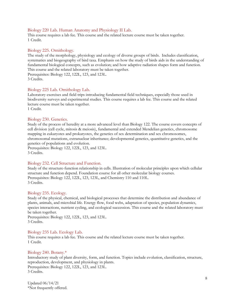## Biology 220 Lab. Human Anatomy and Physiology II Lab.

This course requires a lab fee. This course and the related lecture course must be taken together. 1 Credit.

## Biology 225. Ornithology.

The study of the morphology, physiology and ecology of diverse groups of birds. Includes classification, systematics and biogeography of bird taxa. Emphasis on how the study of birds aids in the understanding of fundamental biological concepts, such as evolution; and how adaptive radiation shapes form and function. This course and the related laboratory must be taken together. Prerequisites: Biology 122, 122L, 123, and 123L.

3 Credits.

## Biology 225 Lab. Ornithology Lab.

Laboratory exercises and field trips introducing fundamental field techniques, especially those used in biodiversity surveys and experimental studies. This course requires a lab fee. This course and the related lecture course must be taken together.

1 Credit.

## Biology 230. Genetics.

Study of the process of heredity at a more advanced level than Biology 122. The course covers concepts of cell division (cell cycle, mitosis & meiosis), fundamental and extended Mendelian genetics, chromosome mapping in eukaryotes and prokaryotes, the genetics of sex determination and sex chromosomes, chromosomal mutations, extranuclear inheritance; developmental genetics, quantitative genetics, and the genetics of populations and evolution.

Prerequisites: Biology 122, 122L, 123, and 123L. 3 Credits.

## Biology 232. Cell Structure and Function.

Study of the structure-function relationship in cells. Illustration of molecular principles upon which cellular structure and function depend. Foundation course for all other molecular biology courses. Prerequisites: Biology 122, 122L, 123, 123L, and Chemistry 110 and 110L. 3 Credits.

## Biology 235. Ecology.

Study of the physical, chemical, and biological processes that determine the distribution and abundance of plants, animals, and microbial life. Energy flow, food webs, adaptation of species, population dynamics, species interactions, nutrient cycling, and ecological succession. This course and the related laboratory must be taken together.

Prerequisites: Biology 122, 122L, 123, and 123L. 3 Credits.

## Biology 235 Lab. Ecology Lab.

This course requires a lab fee. This course and the related lecture course must be taken together. 1 Credit.

## Biology 240. Botany.\*

Introductory study of plant diversity, form, and function. Topics include evolution, classification, structure, reproduction, development, and physiology in plants. Prerequisites: Biology 122, 122L, 123, and 123L. 3 Credits.

Updated 06/14/21 \*Not frequently offered.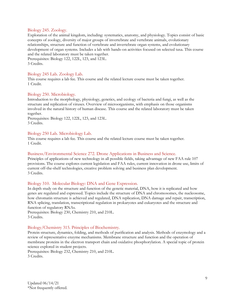## Biology 245. Zoology.

Exploration of the animal kingdom, including: systematics, anatomy, and physiology. Topics consist of basic concepts of zoology, diversity of major groups of invertebrate and vertebrate animals, evolutionary relationships, structure and function of vertebrate and invertebrate organ systems, and evolutionary development of organ systems. Includes a lab with hands-on activities focused on selected taxa. This course and the related laboratory must be taken together.

Prerequisites: Biology 122, 122L, 123, and 123L. 3 Credits.

## Biology 245 Lab. Zoology Lab.

This course requires a lab fee. This course and the related lecture course must be taken together. 1 Credit.

## Biology 250. Microbiology.

Introduction to the morphology, physiology, genetics, and ecology of bacteria and fungi, as well as the structure and replication of viruses. Overview of microorganisms, with emphasis on those organisms involved in the natural history of human disease. This course and the related laboratory must be taken together.

Prerequisites: Biology 122, 122L, 123, and 123L. 3 Credits.

## Biology 250 Lab. Microbiology Lab.

This course requires a lab fee. This course and the related lecture course must be taken together. 1 Credit.

## Business/Environmental Science 272. Drone Applications in Business and Science.

Principles of applications of new technology in all possible fields, taking advantage of new FAA rule 107 provisions. The course explores current legislation and FAA rules, current innovation in drone use, limits of current off-the-shelf technologies, creative problem solving and business plan development. 3 Credits.

## Biology 310. Molecular Biology: DNA and Gene Expression.

In depth study on the structure and function of the genetic material, DNA, how it is replicated and how genes are regulated and expressed. Topics include the structure of DNA and chromosomes, the nucleosome, how chromatin structure is achieved and regulated, DNA replication, DNA damage and repair, transcription, RNA splicing, translation, transcriptional regulation in prokaryotes and eukaryotes and the structure and function of regulatory RNAs.

Prerequisites: Biology 230, Chemistry 210, and 210L. 3 Credits.

## Biology/Chemistry 315. Principles of Biochemistry.

Protein structure, dynamics, folding, and methods of purification and analysis. Methods of enzymology and a review of representative enzyme mechanisms. Membrane structure and function and the operation of membrane proteins in the electron transport chain and oxidative phosphorylation. A special topic of protein science explored in student projects.

Prerequisites: Biology 232, Chemistry 210, and 210L. 3 Credits.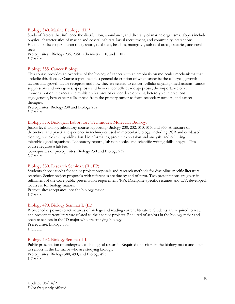## Biology 340. Marine Ecology. (IL)\*

Study of factors that influence the distribution, abundance, and diversity of marine organisms. Topics include physical characteristics of marine and coastal habitats, larval recruitment, and community interactions. Habitats include open ocean rocky shore, tidal flats, beaches, mangrove, sub tidal areas, estuaries, and coral reefs.

Prerequisites: Biology 235, 235L, Chemistry 110, and 110L. 3 Credits.

## Biology 355. Cancer Biology.

This course provides an overview of the biology of cancer with an emphasis on molecular mechanisms that underlie this disease. Course topics include a general description of what cancer is; the cell cycle, growth factors and growth factor receptors and how they are related to cancer, cellular signaling mechanisms, tumor suppressors and oncogenes, apoptosis and how cancer cells evade apoptosis, the importance of cell immortalization in cancer, the multistep features of cancer development, heterotypic interactions, angiogenesis, how cancer cells spread from the primary tumor to form secondary tumors, and cancer therapies.

Prerequisites: Biology 230 and Biology 232. 3 Credits.

## Biology 373. Biological Laboratory Techniques: Molecular Biology.

Junior level biology laboratory course supporting Biology 230, 232, 310, 315, and 355. A mixture of theoretical and practical experience in techniques used in molecular biology, including PCR and cell-based cloning, nucleic acid hybridization, bioinformatics, protein expression and analysis, and culturing microbiological organisms. Laboratory reports, lab notebooks, and scientific writing skills integral. This course requires a lab fee.

Co-requisites or prerequisites: Biology 230 and Biology 232. 2 Credits.

## Biology 380. Research Seminar. (IL, PP)

Students choose topics for senior project proposals and research methods for discipline specific literature searches. Senior project proposals with references are due by end of term. Two presentations are given in fulfillment of the Core public presentation requirement (PP). Discipline-specific resumes and C.V. developed. Course is for biology majors.

Prerequisite: acceptance into the biology major. 1 Credit.

## Biology 490. Biology Seminar I. (IL)

Broadened exposure to active areas of biology and reading current literature. Students are required to read and present current literature related to their senior projects. Required of seniors in the biology major and open to seniors in the ID major who are studying biology. Prerequisite: Biology 380.

1 Credit.

## Biology 492. Biology Seminar III.

Public presentation of undergraduate biological research. Required of seniors in the biology major and open to seniors in the ID major who are studying biology. Prerequisites: Biology 380, 490, and Biology 495. 1 Credit.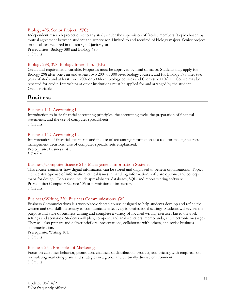## Biology 495. Senior Project. (WC)

Independent research project or scholarly study under the supervision of faculty members. Topic chosen by mutual agreement between student and supervisor. Limited to and required of biology majors. Senior project proposals are required in the spring of junior year.

Prerequisites: Biology 380 and Biology 490. 3 Credits.

## Biology 298, 398. Biology Internship. (EE)

Credit and requirements variable. Proposals must be approved by head of major. Students may apply for Biology 298 after one year and at least two 200- or 300-level biology courses, and for Biology 398 after two years of study and at least three 200- or 300-level biology courses and Chemistry 110/111. Course may be repeated for credit. Internships at other institutions must be applied for and arranged by the student. Credit variable.

## <span id="page-10-0"></span>**Business**

## Business 141. Accounting I.

Introduction to basic financial accounting principles, the accounting cycle, the preparation of financial statements, and the use of computer spreadsheets.

3 Credits.

## Business 142. Accounting II.

Interpretation of financial statements and the use of accounting information as a tool for making business management decisions. Use of computer spreadsheets emphasized. Prerequisite: Business 141. 3 Credits.

## Business/Computer Science 215. Management Information Systems.

This course examines how digital information can be stored and organized to benefit organizations. Topics include strategic use of information, ethical issues in handling information, software options, and concept maps for design. Tools used include spreadsheets, databases, SQL, and report writing software. Prerequisite: Computer Science 105 or permission of instructor. 3 Credits.

## Business/Writing 220. Business Communications. (W)

Business Communications is a workplace-oriented course designed to help students develop and refine the written and oral skills necessary to communicate effectively in professional settings. Students will review the purpose and style of business writing and complete a variety of focused writing exercises based on work settings and scenarios. Students will plan, compose, and analyze letters, memoranda, and electronic messages. They will also prepare and deliver brief oral presentations, collaborate with others, and revise business communication.

Prerequisite: Writing 101. 3 Credits.

## Business 254. Principles of Marketing.

Focus on customer behavior, promotion, channels of distribution, product, and pricing, with emphasis on formulating marketing plans and strategies in a global and culturally diverse environment. 3 Credits.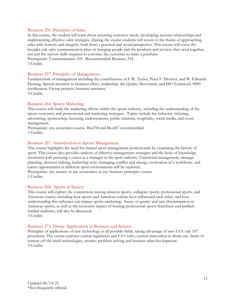## Business 256. Principles of Sales.

In this course, the student will learn about assessing customer needs, developing account relationships and implementing effective sales strategies. During the course students will return to the theme of approaching sales with honesty and integrity, both from a practical and moral perspective. This course will cover the broader role sales communication plays in bringing people and the products and services they need together, not just the narrow skills required to convince the customer to make a purchase. Prerequisite: Communication 105. Recommended: Business 254. 3 Credits.

## Business 257. Principles of Management.

Fundamentals of management including the contributions of F.W. Taylor, Peter F. Drucker, and W. Edwards Deming. Special attention to business ethics, leadership, the Quality Movement, and ISO Teamwork 9000 certification. Group projects, business seminars. 3 Credits.

## Business 264. Sports Marketing.

This course will study the marketing efforts within the sports industry, including the understanding of the sports customer, and promotional and marketing strategies. Topics include fan behavior, ticketing, advertising, sponsorship, licensing, endorsements, public relations, hospitality, social media, and event management.

Prerequisite: any economics course. Bus254 and Bus267 recommended. 3 Credits.

## Business 267. Introduction to Sports Management.

This course highlights the need for trained sport management professionals by examining the history of sport. This course also provides analysis of effective management strategies and the body of knowledge associated with pursuing a career as a manager in the sport industry. Functional management, strategic planning, decision making, leadership style, managing conflict and change, motivation of a workforce, and career opportunities in different sport environments will be explored.

Prerequisite: any science or any economics or any business principles course. 3 Credits.

## Business 268. Sports in Society.

This course will explore the connections among amateur sports, collegiate sports, professional sports, and American society; including how sports and American culture have influenced each other, and how understanding this influence can impact sports marketing. Issues of gender and race discrimination in American sports, as well as the economic impact of hosting professional sports franchises and publicly funded stadiums, will also be discussed. 3 Credits.

## Business 272. Drone Applications in Business and Science.

Principles of applications of new technology in all possible fields, taking advantage of new FAA rule 107 provisions. The course explores current legislation and FAA rules, current innovation in drone use, limits of current off-the-shelf technologies, creative problem solving and business plan development. 3 Credits.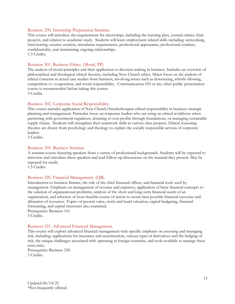## Business 290. Internship Preparation Seminar.

This course will introduce the requirements for internships, including the learning plan, journal entries, final projects, and relation to academic study. Students will learn employment related skills including: networking, interviewing, resume creation, attendance requirements, professional appearance, professional conduct, confidentiality, and maintaining ongoing relationships. 1.5 Credits.

## Business 301. Business Ethics. (Moral, PP)

The analysis of moral principles and their application to decision making in business. Includes an overview of philosophical and theological ethical theories, including New Church ethics. Major focus on the analysis of ethical concerns in actual case studies from business, involving issues such as downsizing, whistle-blowing, competition vs. cooperation, and social responsibility. Communication 105 or any other public presentation course is recommended before taking this course.

3 Credits.

## Business 302. Corporate Social Responsibility.

This course includes application of New Church/Swedenborgian ethical responsibility in business strategic planning and management. Particular focus on corporate leaders who are using an ethical worldview when partnering with government regulators, donating to non-profits through foundations, or managing sustainable supply chains. Students will strengthen their teamwork skills in various class projects. Ethical reasoning theories are drawn from psychology and theology to explain the socially responsible actions of corporate leaders.

3 Credits.

## Business 305. Business Seminar.

A seminar course featuring speakers from a variety of professional backgrounds. Students will be expected to interview and introduce these speakers and lead follow-up discussions on the material they present. May be repeated for credit.

1.5 Credits.

## Business 320. Financial Management. (QR)

Introduction to business finance, the role of the chief financial officer, and financial tools used by management. Emphasis on management of revenue and expenses, application of basic financial concepts to the solution of organizational problems, analysis of the short and long-term financial needs of an organization, and selection of most feasible course of action to secure best possible financial outcome and allocation of resources. Topics of present value, stock and bond valuation, capital budgeting, financial forecasting, and capital structures also examined.

Prerequisite: Business 141. 3 Credits.

## Business 321. Advanced Financial Management.

This course will explore advanced financial management with specific emphasis on assessing and managing risk, including: applications for insurance and securitization, various types of derivatives and the hedging of risk, the unique challenges associated with operating in foreign countries, and tools available to manage these extra risks.

Prerequisite: Business 320. 3 Credits.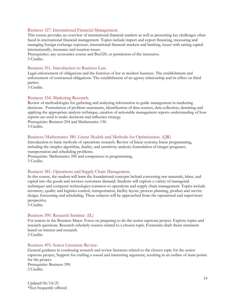## Business 327. International Financial Management.

This course provides an overview of international financial markets as well as presenting key challenges often faced in international financial management. Topics include import and export financing, measuring and managing foreign exchange exposure, international financial markets and banking, issues with raising capital internationally, insurance and taxation issues.

Prerequisites: any economics course and Bus320, or permission of the instructor. 3 Credits.

## Business 351. Introduction to Business Law.

Legal enforcement of obligations and the function of law in modern business. The establishment and enforcement of contractual obligations. The establishment of an agency relationship and its effect on third parties.

3 Credits.

## Business 354. Marketing Research.

Review of methodologies for gathering and analyzing information to guide management in marketing decisions. Formulation of problem statements, identification of data sources, data collection, demining and applying the appropriate analysis technique, creation of actionable management reports understanding of how reports are used to make decisions and influence strategy.

Prerequisite: Business 254 and Mathematics 130. 3 Credits.

## Business/Mathematics 380. Linear Models and Methods for Optimization. (QR)

Introduction to basic methods of operations research. Review of linear systems; linear programming, including the simplex algorithm, duality, and sensitivity analysis; formulation of integer programs; transportation and scheduling problems.

Prerequisite: Mathematics 240 and competence in programming. 3 Credits.

## Business 381. Operations and Supply Chain Management.

In this course, the student will learn the foundational concepts behind converting raw materials, labor, and capital into the goods and services customers demand. Students will explore a variety of managerial techniques and computer technologies common to operations and supply chain management. Topics include inventory, quality and logistics control, transportation, facility layout, process planning, product and service design, forecasting and scheduling. These subjects will be approached from the operational and supervisory perspective.

3 Credits.

## Business 390. Research Seminar. (IL)

For juniors in the Business Major. Focus on preparing to do the senior capstone project. Explore topics and research questions. Research scholarly sources related to a chosen topic. Formulate draft thesis statement based on interest and research.

2 Credits.

## Business 493. Senior Literature Review.

General guidance in continuing research and review literature related to the chosen topic for the senior capstone project, Support for crafting a sound and interesting argument, resulting in an outline of main points for the project. Prerequisite: Business 390.

2 Credits.

Updated 06/14/21 \*Not frequently offered.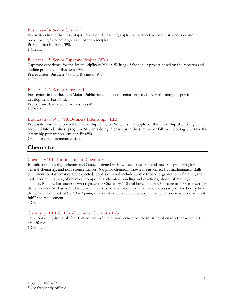## Business 494. Senior Seminar I.

For seniors in the Business Major. Focus on developing a spiritual perspective on the student's capstone project using Swedenborgian and other principles. Prerequisite: Business 390. 1 Credit.

## Business 495. Senior Capstone Project. (WC)

Capstone experience for the Interdisciplinary Major. Writing of the senior project based on the research and outline produced in Business 493. Prerequisites: Business 493 and Business 494. 2 Credits.

#### Business 496. Senior Seminar II.

For seniors in the Business Major. Public presentation of senior project. Career planning and portfolio development. Pass/Fail. Prerequisite: C– or better in Business 495. 1 Credit.

## Business 298, 398, 498. Business Internship. (EE)

Proposals must be approved by Internship Director. Students may apply for this internship after being accepted into a business program. Students doing internships in the summer or fall are encouraged to take the internship preparation seminar, Bus290.

Credits and requirements variable.

## <span id="page-14-0"></span>**Chemistry**

## Chemistry 101. Introduction to Chemistry.

Introduction to college chemistry. Course designed with two audiences in mind-students preparing for general chemistry, and non-science majors. No prior chemical knowledge assumed, but mathematical skills equivalent to Mathematics 100 expected. Topics covered include atomic theory, organization of matter, the mole concept, naming of chemical compounds, chemical bonding and reactions, phases of matter, and kinetics. Required of students who register for Chemistry 110 and have a math SAT score of 500 or lower (or the equivalent ACT score). This course has an associated laboratory that is not necessarily offered every time the course is offered. *When taken together,* they satisfy the Core science requirement. This course alone will not fulfill the requirement.

3 Credits.

## Chemistry 101 Lab. Introduction to Chemistry Lab.

This course requires a lab fee. This course and the related lecture course must be taken together when both are offered.

1 Credit.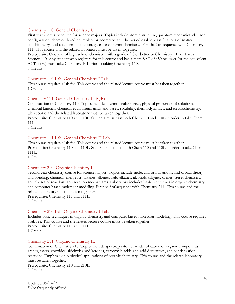## Chemistry 110. General Chemistry I.

First year chemistry course for science majors. Topics include atomic structure, quantum mechanics, electron configuration, chemical bonding, molecular geometry, and the periodic table, classifications of matter, stoichiometry, and reactions in solution, gases, and thermochemistry. First half of sequence with Chemistry 111. This course and the related laboratory must be taken together.

Prerequisite: One year of high school chemistry with a grade of C or better or Chemistry 101 or Earth Science 110. Any student who registers for this course and has a math SAT of 450 or lower (or the equivalent ACT score) must take Chemistry 101 prior to taking Chemistry 110. 3 Credits.

#### Chemistry 110 Lab. General Chemistry I Lab.

This course requires a lab fee. This course and the related lecture course must be taken together. 1 Credit.

#### Chemistry 111. General Chemistry II. (QR)

Continuation of Chemistry 110. Topics include intermolecular forces, physical properties of solutions, chemical kinetics, chemical equilibrium, acids and bases, solubility, thermodynamics, and electrochemistry. This course and the related laboratory must be taken together.

Prerequisite: Chemistry 110 and 110L. Students must pass both Chem 110 and 110L in order to take Chem 111.

3 Credits.

## Chemistry 111 Lab. General Chemistry II Lab.

This course requires a lab fee. This course and the related lecture course must be taken together. Prerequisite: Chemistry 110 and 110L. Students must pass both Chem 110 and 110L in order to take Chem 111L.

1 Credit.

#### Chemistry 210. Organic Chemistry I.

Second year chemistry course for science majors. Topics include molecular orbital and hybrid orbital theory and bonding, chemical energetics, alkanes, alkenes, halo alkanes, alcohols, alkynes, dienes, stereochemistry, and classes of reactions and reaction mechanisms. Laboratory includes basic techniques in organic chemistry and computer based molecular modeling. First half of sequence with Chemistry 211. This course and the related laboratory must be taken together.

Prerequisite: Chemistry 111 and 111L. 3 Credits.

#### Chemistry 210 Lab. Organic Chemistry I Lab.

Includes basic techniques in organic chemistry and computer based molecular modeling. This course requires a lab fee. This course and the related lecture course must be taken together. Prerequisite: Chemistry 111 and 111L. 1 Credit.

#### Chemistry 211. Organic Chemistry II.

Continuation of Chemistry 210. Topics include spectrophotometric identification of organic compounds, arenes, esters, epoxides, aldehydes and ketones, carboxylic acids and acid derivatives, and condensation reactions. Emphasis on biological applications of organic chemistry. This course and the related laboratory must be taken together.

Prerequisite: Chemistry 210 and 210L. 3 Credits.

Updated 06/14/21 \*Not frequently offered.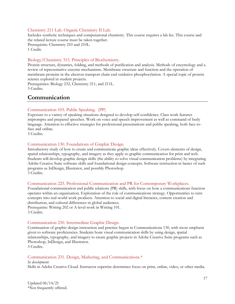## Chemistry 211 Lab. Organic Chemistry II Lab.

Includes synthetic techniques and computational chemistry. This course requires a lab fee. This course and the related lecture course must be taken together.

Prerequisite: Chemistry 210 and 210L. 1 Credit.

## Biology/Chemistry 315. Principles of Biochemistry.

Protein structure, dynamics, folding, and methods of purification and analysis. Methods of enzymology and a review of representative enzyme mechanisms. Membrane structure and function and the operation of membrane proteins in the electron transport chain and oxidative phosphorylation. A special topic of protein science explored in student projects.

Prerequisites: Biology 232, Chemistry 211, and 211L. 3 Credits.

## <span id="page-16-0"></span>**Communication**

## Communication 105. Public Speaking. (PP)

Exposure to a variety of speaking situations designed to develop self-confidence. Class work features impromptu and prepared speeches. Work on voice and speech improvement as well as command of body language. Attention to effective strategies for professional presentations and public speaking, both face-toface and online.

3 Credits.

## Communication 130. Foundations of Graphic Design.

Introductory study of how to create and communicate graphic ideas effectively. Covers elements of design, spatial relationships, typography, and imagery as they apply to graphic communication for print and web. Students will develop graphic design skills (the ability to solve visual communication problems) by integrating Adobe Creative Suite software skills and foundational design concepts. Software instruction in basics of such programs as InDesign, Illustrator, and possibly Photoshop. 3 Credits.

## Communication 225. Professional Communication and PR for Contemporary Workplaces.

Foundational communication and public relations (PR) skills, with focus on how a communications function operates within an organization. Exploration of the role of communications strategy. Opportunities to turn concepts into real-world work products. Attention to social and digital literacies, content creation and distribution, and cultural differences in global audiences. Prerequisite: Writing 202 or A-level work in Writing 101. 3 Credits.

## Communication 230. Intermediate Graphic Design.

Continuation of graphic design instruction and practice begun in Communications 130, with more emphasis given to software proficiencies. Students hone visual communication skills by using design, spatial relationships, typography, and imagery to create graphic projects in Adobe Creative Suite programs such as Photoshop, InDesign, and Illustrator.

3 Credits.

## Communication 231. Design, Marketing, and Communications.\*

*In development*. Skills in Adobe Creative Cloud. Instructor expertise determines focus on print, online, video, or other media.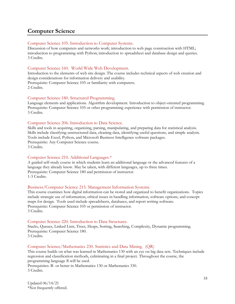## <span id="page-17-0"></span>**Computer Science**

## Computer Science 105. Introduction to Computer Systems.

Discussion of how computers and networks work; introduction to web page construction with HTML; introduction to programming with Python; introduction to spreadsheet and database design and queries. 3 Credits.

## Computer Science 160. World Wide Web Development.

Introduction to the elements of web site design. The course includes technical aspects of web creation and design considerations for information delivery and usability. Prerequisite: Computer Science 105 or familiarity with computers. 2 Credits.

## Computer Science 180. Structured Programming.

Language elements and applications. Algorithm development. Introduction to object-oriented programming. Prerequisite: Computer Science 105 or other programming experience with permission of instructor. 3 Credits.

## Computer Science 206. Introduction to Data Science.

Skills and tools in acquiring, organizing, parsing, manipulating, and preparing data for statistical analysis. Skills include classifying unstructured data, cleaning data, identifying useful questions, and simple analysis. Tools include Excel, Python, and Microsoft Business Intelligence software packages. Prerequisite: Any Computer Science course. 3 Credits.

## Computer Science 210. Additional Languages.\*

A guided self-study course in which students learn an additional language or the advanced features of a language they already know. May be taken, with different languages, up to three times. Prerequisite: Computer Science 180 and permission of instructor. 1-3 Credits.

## Business/Computer Science 215. Management Information Systems.

This course examines how digital information can be stored and organized to benefit organizations. Topics include strategic use of information, ethical issues in handling information, software options, and concept maps for design. Tools used include spreadsheets, databases, and report writing software. Prerequisite: Computer Science 105 or permission of instructor. 3 Credits.

## Computer Science 220. Introduction to Data Structures.

Stacks, Queues, Linked Lists, Trees, Heaps, Sorting, Searching, Complexity, Dynamic programming. Prerequisite: Computer Science 180. 3 Credits.

## Computer Science/Mathematics 230. Statistics and Data Mining. (QR)

This course builds on what was learned in Mathematics 130 with an eye on big data sets. Techniques include regression and classification methods, culminating in a final project. Throughout the course, the programming language *R* will be used. Prerequisites: B- or better in Mathematics 130 or Mathematics 330. 3 Credits.

Updated 06/14/21 \*Not frequently offered.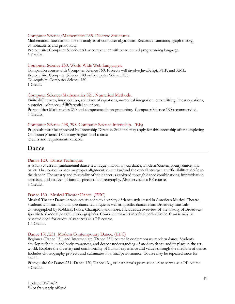## Computer Science/Mathematics 235. Discrete Structures.

Mathematical foundations for the analysis of computer algorithms. Recursive functions, graph theory, combinatorics and probability.

Prerequisite: Computer Science 180 or competence with a structured programming language. 3 Credits.

## Computer Science 260. World Wide Web Languages.

Companion course with Computer Science 160. Projects will involve JavaScript, PHP, and XML. Prerequisite: Computer Science 180 or Computer Science 206. Co-requisite: Computer Science 160. 1 Credit.

## Computer Science/Mathematics 321. Numerical Methods.

Finite differences, interpolation, solutions of equations, numerical integration, curve fitting, linear equations, numerical solutions of differential equations.

Prerequisite: Mathematics 250 and competence in programming. Computer Science 180 recommended. 3 Credits.

## Computer Science 298, 398. Computer Science Internship. (EE)

Proposals must be approved by Internship Director. Students may apply for this internship after completing Computer Science 180 or any higher-level course.

Credits and requirements variable.

## <span id="page-18-0"></span>**Dance**

## Dance 120. Dance Technique.

A studio course in fundamental dance technique, including jazz dance, modern/contemporary dance, and ballet. The course focuses on proper alignment, execution, and the overall strength and flexibility specific to the dancer. The artistry and musicality of the dancer is explored through dance combinations, improvisation exercises, and analysis of famous pieces of choreography. Also serves as a PE course. 3 Credits.

## Dance 130. Musical Theater Dance. (EEC)

Musical Theater Dance introduces students to a variety of dance styles used in American Musical Theatre. Students will learn tap and jazz dance technique as well as specific dances from Broadway musicals choreographed by Robbins, Fosse, Champion, and more. Includes an overview of the history of Broadway, specific to dance styles and choreographers. Course culminates in a final performance. Course may be repeated once for credit. Also serves as a PE course. 1.5 Credits.

## Dance 131/231. Modern Contemporary Dance. (EEC)

Beginner (Dance 131) and Intermediate (Dance 231) course in contemporary modern dance. Students develop technique and body awareness, and deeper understanding of modern dance and its place in the art world. Explore the diversity and commonality of human experience and values through the medium of dance. Includes choreography projects and culminates in a final performance. Course may be repeated once for credit.

Prerequisite for Dance 231: Dance 120, Dance 131, or instructor's permission. Also serves as a PE course. 3 Credits.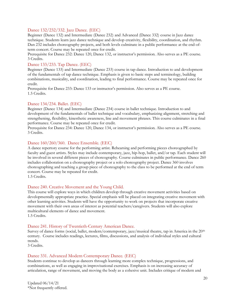## Dance 132/232/332. Jazz Dance. (EEC)

Beginner (Dance 132) and Intermediate (Dance 232) and Advanced (Dance 332) course in Jazz dance technique. Students learn jazz dance technique and develop creativity, flexibility, coordination, and rhythm. Dan 232 includes choreography projects, and both levels culminate in a public performance at the end-ofterm concert. Course may be repeated once for credit.

Prerequisite for Dance 232: Dance 120, Dance 132, or instructor's permission. Also serves as a PE course. 3 Credits.

## Dance 133/233. Tap Dance. (EEC)

Beginner (Dance 133) and Intermediate (Dance 233) course in tap dance. Introduction to and development of the fundamentals of tap dance technique. Emphasis is given to basic steps and terminology, building combinations, musicality, and coordination, leading to final performance. Course may be repeated once for credit.

Prerequisite for Dance 233: Dance 133 or instructor's permission. Also serves as a PE course. 1.5 Credits.

## Dance 134/234. Ballet. (EEC)

Beginner (Dance 134) and Intermediate (Dance 234) course in ballet technique. Introduction to and development of the fundamentals of ballet technique and vocabulary, emphasizing alignment, stretching and strengthening, flexibility, kinesthetic awareness, line and movement phrases. This course culminates in a final performance. Course may be repeated once for credit.

Prerequisite for Dance 234: Dance 120, Dance 134, or instructor's permission. Also serves as a PE course. 3 Credits.

## Dance 160/260/360. Dance Ensemble. (EEC)

A dance repertory course for the performing artist. Rehearsing and performing pieces choreographed by faculty and guest artists. Styles may include contemporary, jazz, hip-hop, ballet, and/or tap. Each student will be involved in several different pieces of choreography. Course culminates in public performance. Dance 260 includes collaboration on a choreography project or a solo choreography project. Dance 360 involves choreographing and teaching a group piece of choreography to the class to be performed at the end of term concert. Course may be repeated for credit.

1.5 Credits.

## Dance 240. Creative Movement and the Young Child.

This course will explore ways in which children develop through creative movement activities based on developmentally appropriate practice. Special emphasis will be placed on integrating creative movement with other learning activities. Students will have the opportunity to work on projects that incorporate creative movement with their own areas of interest as potential teachers/caregivers. Students will also explore multicultural elements of dance and movement. 1.5 Credits.

## Dance 241. History of Twentieth-Century American Dance.

Survey of dance forms (social, ballet, modern/contemporary, jazz/musical theatre, tap in America in the 20<sup>th</sup> century. Course includes readings, lectures, films, discussions, and analysis of individual styles and cultural trends.

3 Credits.

## Dance 331. Advanced Modern Contemporary Dance. (EEC)

Students continue to develop as dancers through learning more complex technique, progressions, and combinations, as well as engaging in improvisational exercises. Emphasis is on increasing accuracy of articulation, range of movement, and moving the body as a cohesive unit. Includes critique of modern and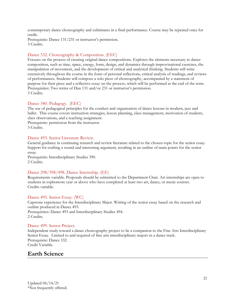contemporary dance choreography and culminates in a final performance. Course may be repeated once for credit.

Prerequisite: Dance 131/231 or instructor's permission. 3 Credits.

## Dance 332. Choreography & Composition. (EEC)

Focuses on the process of creating original dance compositions. Explores the elements necessary to dance composition, such as time, space, energy, form, design, and dynamics through improvisational exercises, the manipulation of movement, and the development of critical and analytical thinking. Students will write extensively throughout the course in the form of personal reflections, critical analysis of readings, and reviews of performances. Students will compose a solo piece of choreography, accompanied by a statement of purpose for their piece and a reflective essay on the process, which will be performed at the end of the term. Prerequisites: Two terms of Dan 131 and/or 231 or instructor's permission. 3 Credits.

## Dance 340. Pedagogy. (EEC)

The use of pedagogical principles for the conduct and organization of dance lessons in modern, jazz and ballet. This course covers instruction strategies, lesson planning, class management, motivation of students, class observations, and a teaching assignment.

Prerequisite: permission from the instructor. 3 Credits.

## Dance 493. Senior Literature Review.

General guidance in continuing research and review literature related to the chosen topic for the senior essay. Support for crafting a sound and interesting argument, resulting in an outline of main points for the senior essay.

Prerequisite: Interdisciplinary Studies 390. 2 Credits.

## Dance 298/398/498. Dance Internship. (EE)

Requirements variable. Proposals should be submitted to the Department Chair. Art internships are open to students in sophomore year or above who have completed at least two art, dance, or music courses. Credits variable.

## Dance 495. Senior Essay. (WC)

Capstone experience for the Interdisciplinary Major. Writing of the senior essay based on the research and outline produced in Dance 493. Prerequisites: Dance 493 and Interdisciplinary Studies 494. 2 Credits.

## Dance 499. Senior Project.

Independent study toward a dance choreography project to be a companion to the Fine Arts Interdisciplinary Senior Essay. Limited to and required of fine arts interdisciplinary majors in a dance track. Prerequisite: Dance 332. Credit Variable.

## <span id="page-20-0"></span>**Earth Science**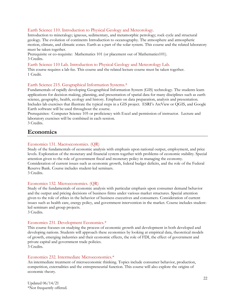## Earth Science 110. Introduction to Physical Geology and Meteorology.

Introduction to mineralogy; igneous, sedimentary, and metamorphic petrology; rock cycle and structural geology. The evolution of continents Introduction to oceanography. The atmosphere and atmospheric motion, climate, and climatic zones. Earth as a part of the solar system. This course and the related laboratory must be taken together.

Prerequisite or co-requisite: Mathematics 101 (or placement out of Mathematics101). 3 Credits.

## Earth Science 110 Lab. Introduction to Physical Geology and Meteorology Lab.

This course requires a lab fee. This course and the related lecture course must be taken together. 1 Credit.

## Earth Science 215. Geographical Information Systems.\*

Fundamentals of rapidly developing Geographical Information System (GIS) technology. The students learn applications for decision making, planning, and presentation of spatial data for many disciplines such as earth science, geography, health, ecology and history. Emphasis on data preparation, analysis and presentation. Includes lab exercises that illustrate the typical steps in a GIS project. ESRI's ArcView or QGIS, and Google Earth software will be used throughout the course.

Prerequisites: Computer Science 105 or proficiency with Excel and permission of instructor. Lecture and laboratory exercises will be combined in each session.

3 Credits.

## <span id="page-21-0"></span>**Economics**

## Economics 131. Macroeconomics. (QR)

Study of the fundamentals of economic analysis with emphasis upon national output, employment, and price levels. Exploration of the monetary and financial system together with problems of economic stability. Special attention given to the role of government fiscal and monetary policy in managing the economy. Consideration of current issues such as economic growth, federal budget deficits, and the role of the Federal Reserve Bank. Course includes student-led seminars. 3 Credits.

## Economics 132. Microeconomics. (QR)

Study of the fundamentals of economic analysis with particular emphasis upon consumer demand behavior and the output and pricing decisions of business firms under various market structures. Special attention given to the role of ethics in the behavior of business executives and consumers. Consideration of current issues such as health care, energy policy, and government intervention in the market. Course includes studentled seminars and group projects.

3 Credits.

## Economics 231. Development Economics.\*

This course focuses on studying the process of economic growth and development in both developed and developing nations. Students will approach these economies by looking at empirical data, theoretical models of growth, emerging industries and their economic effects, the role of FDI, the effect of government and private capital and government trade policies. 3 Credits.

## Economics 232. Intermediate Microeconomics.\*

An intermediate treatment of microeconomic thinking. Topics include consumer behavior, production, competition, externalities and the entrepreneurial function. This course will also explore the origins of economic theory.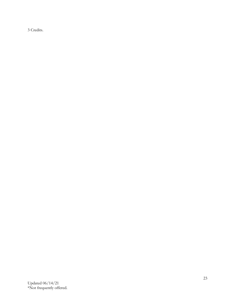3 Credits.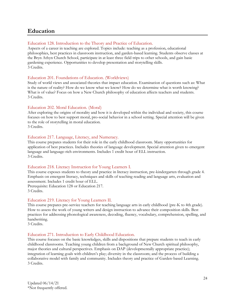## <span id="page-23-0"></span>**Education**

## Education 128. Introduction to the Theory and Practice of Education.

Aspects of a career in teaching are explored. Topics include: teaching as a profession, educational philosophies, best practices in classroom instruction, and garden-based learning. Students observe classes at the Bryn Athyn Church School, participate in at least three field trips to other schools, and gain basic gardening experience. Opportunities to develop presentation and storytelling skills. 3 Credits.

## Education 201. Foundations of Education. (Worldviews)

Study of world views and associated theories that impact education. Examination of questions such as: What is the nature of reality? How do we know what we know? How do we determine what is worth knowing? What is of value? Focus on how a New Church philosophy of education affects teachers and students. 3 Credits.

## Education 202. Moral Education. (Moral)

After exploring the origins of morality and how it is developed within the individual and society, this course focuses on how to best support moral, pro-social behavior in a school setting. Special attention will be given to the role of storytelling in moral education.

3 Credits.

## Education 217. Language, Literacy, and Numeracy.

This course prepares students for their role in the early childhood classroom. Many opportunities for application of best practices. Includes theories of language development. Special attention given to emergent language and language-rich environments. Includes 1 credit hour of ELL instruction. 3 Credits.

## Education 218. Literacy Instruction for Young Learners I.

This course exposes students to theory and practice in literacy instruction, pre-kindergarten through grade 4. Emphasis on emergent literacy, techniques and skills of teaching reading and language arts, evaluation and assessment. Includes 1 credit hour of ELL.

Prerequisite: Education 128 or Education 217. 3 Credits.

## Education 219. Literacy for Young Learners II.

This course prepares pre-service teachers for teaching language arts in early childhood (pre-K to 4th grade). How to assess the work of young writers and design instruction to advance their composition skills. Best practices for addressing phonological awareness, decoding, fluency, vocabulary, comprehension, spelling, and handwriting.

3 Credits.

## Education 271. Introduction to Early Childhood Education.

This course focuses on the basic knowledges, skills and dispositions that prepare students to teach in early childhood classrooms. Teaching young children from a background of New Church spiritual philosophy, major theories and cultural perspectives. Emphasis on DAP (developmentally appropriate practice); integration of learning goals with children's play; diversity in the classroom; and the process of building a collaborative model with family and community. Includes theory and practice of Garden-based Learning. 3 Credits.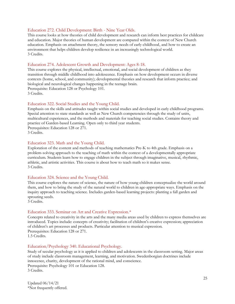## Education 272. Child Development: Birth - Nine Year Olds.

This course looks at how theories of child development and research can inform best practices for childcare and education. Major theories of human development are compared within the context of New Church education. Emphasis on attachment theory, the sensory needs of early childhood, and how to create an environment that helps children develop resilience in an increasingly technological world. 3 Credits.

## Education 274. Adolescent Growth and Development: Ages 8-18.

This course explores the physical, intellectual, emotional, and social development of children as they transition through middle childhood into adolescence. Emphasis on how development occurs in diverse contexts (home, school, and community); developmental theories and research that inform practice; and biological and neurological changes happening in the teenage brain. Prerequisite: Education 128 or Psychology 101. 3 Credits.

## Education 322. Social Studies and the Young Child.

Emphasis on the skills and attitudes taught within social studies and developed in early childhood programs. Special attention to state standards as well as New Church competencies through the study of units, multicultural experiences, and the methods and materials for teaching social studies. Contains theory and practice of Garden-based Learning. Open only to third year students. Prerequisites: Education 128 or 271.

3 Credits.

## Education 323. Math and the Young Child.

Exploration of the content and methods of teaching mathematics Pre-K to 4th grade. Emphasis on a problem-solving approach to the teaching of math within the context of a developmentally appropriate curriculum. Students learn how to engage children in the subject through imaginative, musical, rhythmic, athletic, and artistic activities. This course is about how to teach math so it makes sense. 3 Credits.

## Education 324. Science and the Young Child.

This course explores the nature of science, the nature of how young children conceptualize the world around them, and how to bring the study of the natural world to children in age-appropriate ways. Emphasis on the inquiry approach to teaching science. Includes garden-based learning projects: planting a fall garden and sprouting seeds.

3 Credits.

#### Education 333. Seminar on Art and Creative Expression.\*

Concepts related to creativity in the arts and the many media areas used by children to express themselves are introduced. Topics include: concepts of creativity; facilitation of children's creative expression; appreciation of children's art processes and products. Particular attention to musical expression. Prerequisites: Education 128 or 271. 1.5 Credits.

#### Education/Psychology 340. Educational Psychology.

Study of secular psychology as it is applied to children and adolescents in the classroom setting. Major areas of study include classroom management, learning, and motivation. Swedenborgian doctrines include innocence, charity, development of the rational mind, and conscience. Prerequisite: Psychology 101 or Education 128. 3 Credits.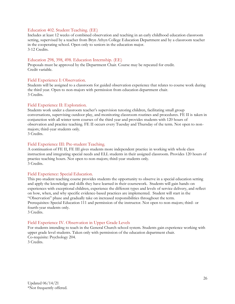## Education 402. Student Teaching. (EE)

Includes at least 12 weeks of combined observation and teaching in an early childhood education classroom setting, supervised by a teacher from Bryn Athyn College Education Department and by a classroom teacher in the cooperating school. Open only to seniors in the education major. 3-12 Credits.

## Education 298, 398, 498. Education Internship. (EE)

Proposals must be approved by the Department Chair. Course may be repeated for credit. Credit variable.

## Field Experience I: Observation.

Students will be assigned to a classroom for guided observation experience that relates to course work during the third year. Open to non-majors with permission from education department chair. 3 Credits.

## Field Experience II: Exploration.

Students work under a classroom teacher's supervision tutoring children, facilitating small group conversations, supervising outdoor play, and monitoring classroom routines and procedures. FE II is taken in conjunction with all winter term courses of the third year and provides students with 120 hours of observation and practice teaching. FE II occurs every Tuesday and Thursday of the term. Not open to nonmajors; third-year students only.

3 Credits.

## Field Experience III: Pre-student Teaching.

A continuation of FE II, FE III gives students more independent practice in working with whole class instruction and integrating special needs and ELL students in their assigned classroom. Provides 120 hours of practice teaching hours. Not open to non-majors; third-year students only. 3 Credits.

## Field Experience: Special Education.

This pre-student teaching course provides students the opportunity to observe in a special education setting and apply the knowledge and skills they have learned in their coursework. Students will gain hands-on experiences with exceptional children, experience the different types and levels of service delivery, and reflect on how, when, and why specific evidence-based practices are implemented. Student will start in the "Observation" phase and gradually take on increased responsibilities throughout the term. Prerequisites: Special Education 111 and permission of the instructor. Not open to non-majors; third- or fourth-year students only. 3 Credits.

Field Experience IV. Observation in Upper Grade Levels For students intending to teach in the General Church school system. Students gain experience working with upper grade level students. Taken only with permission of the education department chair. Co-requisite: Psychology 204. 3 Credits.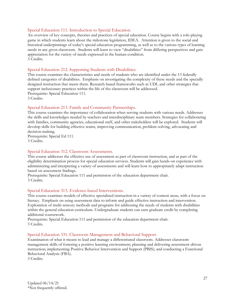## Special Education 111. Introduction to Special Education.

An overview of key concepts, theories and practices of special education. Course begins with a role-playing game in which students learn about the milestone legislation, IDEA. Attention is given to the social and historical underpinnings of today's special education programming, as well as to the various types of learning needs in any given classroom. Students will learn to view "disabilities" from differing perspectives and gain appreciation for the variety of needs expressed in the human condition. 3 Credits.

## Special Education 212. Supporting Students with Disabilities.

This course examines the characteristics and needs of students who are identified under the 13 federally defined categories of disabilities. Emphasis on investigating the complexity of these needs and the specially designed instruction that meets them. Research-based frameworks such as UDL and other strategies that support inclusionary practices within the life of the classroom will be addressed. Prerequisite: Special Education 111. 3 Credits.

## Special Education 213. Family and Community Partnerships.

This course examines the importance of collaboration when serving students with various needs. Addresses the skills and knowledges needed by teachers and interdisciplinary team members. Strategies for collaborating with families, community agencies, educational staff, and other stakeholders will be explored. Students will develop skills for building effective teams, improving communication, problem-solving, advocating and decision-making.

Prerequisite: Special Ed 111. 3 Credits.

## Special Education 312. Classroom Assessments.

This course addresses the effective use of assessment as part of classroom instruction, and as part of the eligibility determination process for special education services. Students will gain hands-on experience with administering and interpreting a variety of assessments and will learn how to appropriately adapt instruction based on assessment findings.

Prerequisite: Special Education 111 and permission of the education department chair. 3 Credits.

## Special Education 313. Evidence-based Interventions.

This course examines models of effective specialized instruction in a variety of content areas, with a focus on literacy. Emphasis on using assessment data to inform and guide effective instruction and intervention. Exploration of multi-sensory methods and programs for addressing the needs of students with disabilities within the general education curriculum. Undergraduate students can earn graduate credit by completing additional coursework.

Prerequisite: Special Education 111 and permission of the education department chair. 3 Credits.

## Special Education 331. Classroom Management and Behavioral Support.

Examination of what it means to lead and manage a differentiated classroom. Addresses classroom management skills of fostering a positive learning environment; planning and delivering assessment-driven instruction; implementing Positive Behavior Intervention and Support (PBIS); and conducting a Functional Behavioral Analysis (FBA).

3 Credits.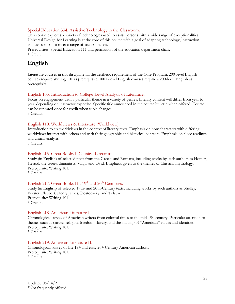## Special Education 334. Assistive Technology in the Classroom.

This course explores a variety of technologies used to assist persons with a wide range of exceptionalities. Universal Design for Learning is at the core of this course with a goal of adapting technology, instruction, and assessment to meet a range of student needs.

Prerequisites: Special Education 111 and permission of the education department chair. 1 Credit.

## <span id="page-27-0"></span>**English**

Literature courses in this discipline fill the aesthetic requirement of the Core Program. 200-level English courses require Writing 101 as prerequisite. 300+-level English courses require a 200-level English as prerequisite.

## English 105. Introduction to College-Level Analysis of Literature.

Focus on engagement with a particular theme in a variety of genres. Literary content will differ from year to year, depending on instructor expertise. Specific title announced in the course bulletin when offered. Course can be repeated once for credit when topic changes. 3 Credits.

## English 110. Worldviews & Literature (Worldview).

Introduction to six worldviews in the context of literary texts. Emphasis on how characters with differing worldviews interact with others and with their geographic and historical contexts. Emphasis on close readings and critical analysis.

3 Credits.

## English 215. Great Books I. Classical Literature.

Study (in English) of selected texts from the Greeks and Romans, including works by such authors as Homer, Hesiod, the Greek dramatists, Virgil, and Ovid. Emphasis given to the themes of Classical mythology. Prerequisite: Writing 101. 3 Credits.

## English 217. Great Books III. 19<sup>th</sup> and 20<sup>th</sup> Centuries.

Study (in English) of selected 19th- and 20th-Century texts, including works by such authors as Shelley, Forster, Flaubert, Henry James, Dostoevsky, and Tolstoy. Prerequisite: Writing 101. 3 Credits.

## English 218. American Literature I.

Chronological survey of American writers from colonial times to the mid-19th century. Particular attention to themes such as nature, religion, freedom, slavery, and the shaping of "American" values and identities. Prerequisite: Writing 101. 3 Credits.

English 219. American Literature II. Chronological survey of late 19<sup>th</sup> and early 20<sup>th</sup>-Century American authors. Prerequisite: Writing 101. 3 Credits.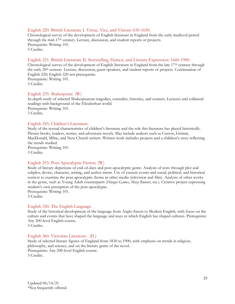## English 220. British Literature I. Virtue, Vice, and Visions: 650-1650.

Chronological survey of the development of English literature in England from the early medieval period through the mid-17th century. Lecture, discussion, and student reports or projects. Prerequisite: Writing 101. 3 Credits.

## English 221. British Literature II. Storytelling, Humor, and Literary Expression: 1660-1900.

Chronological survey of the development of English literature in England from the late  $17<sup>th</sup>$  century through the early 20<sup>th</sup> century. Lecture, discussion, guest speakers, and student reports or projects. Continuation of English 220; English 220 not prerequisite. Prerequisite: Writing 101. 3 Credits.

## English 235. Shakespeare. (W)

In-depth study of selected Shakespearean tragedies, comedies, histories, and sonnets. Lectures and collateral readings with background of the Elizabethan world. Prerequisite: Writing 101. 3 Credits.

## English 245. Children's Literature.

Study of the textual characteristics of children's literature and the role this literature has played historically. Picture books, readers, stories, and adventure novels. May include authors such as Caxton, Grimm, MacDonald, Milne, and New Church writers. Written work includes projects and a children's story reflecting the trends studied. Prerequisite: Writing 101. 3 Credits.

## English 255. Post-Apocalyptic Fiction. (W)

Study of literary depictions of end-of-days and post-apocalyptic genre. Analysis of texts through plot and subplot, device, character, setting, and author intent. Use of current events and social, political, and historical context to examine the post-apocalyptic theme in other media (television and film). Analysis of other works in the genre, such as Young Adult counterparts (*Hunger Games*, *Maze Runner*, etc*.*). Creative project expressing student's own perception of the post-apocalypse.

Prerequisite: Writing 101. 3 Credits.

## English 320. The English Language.

Study of the historical development of the language from Anglo-Saxon to Modern English, with focus on the culture and events that have shaped the language and ways in which English has shaped cultures. Prerequisite: Any 200-level English course.

3 Credits.

## English 360. Victorian Literature. (IL)

Study of selected literary figures of England from 1830 to 1900, with emphasis on trends in religion, philosophy, and science, and on the literary genre of the novel. Prerequisite: Any 200-level English course. 3 Credits.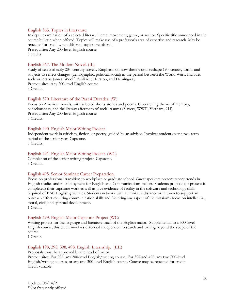## English 365. Topics in Literature.

In depth examination of a selected literary theme, movement, genre, or author. Specific title announced in the course bulletin when offered. Topics will make use of a professor's area of expertise and research. May be repeated for credit when different topics are offered. Prerequisite: Any 200-level English course. 3 credits.

## English 367. The Modern Novel. (IL)

Study of selected early 20<sup>th</sup>-century novels. Emphasis on how these works reshape 19<sup>th</sup>-century forms and subjects to reflect changes (demographic, political, social) in the period between the World Wars. Includes such writers as James, Woolf, Faulkner, Hurston, and Hemingway. Prerequisites: Any 200-level English course.

3 Credits.

## English 370. Literature of the Past 4 Decades. (W)

Focus on American novels, with selected shorts stories and poems. Overarching theme of memory, consciousness, and the literary aftermath of social trauma (Slavery, WWII, Vietnam, 911). Prerequisite: Any 200-level English course. 3 Credits.

## English 490. English Major Writing Project.

Independent work in criticism, fiction, or poetry, guided by an advisor. Involves student over a two-term period of the senior year. Capstone. 3 Credits.

## English 491. English Major Writing Project. (WC)

Completion of the senior writing project. Capstone. 3 Credits.

#### English 495. Senior Seminar: Career Preparation.

Focus on professional transition to workplace or graduate school. Guest speakers present recent trends in English studies and in employment for English and Communications majors. Students propose (or present if completed) their capstone work as well as give evidence of facility in the software and technology skills required of BAC English graduates. Students network with alumni at a distance or in town to support an outreach effort requiring communication skills and fostering any aspect of the mission's focus on intellectual, moral, civil, and spiritual development.

1 Credit.

## English 499. English Major Capstone Project (WC)

Writing project for the language and literature track of the English major. Supplemental to a 300-level English course, this credit involves extended independent research and writing beyond the scope of the course.

1 Credit.

## English 198, 298, 398, 498. English Internship. (EE)

Proposals must be approved by the head of major. Prerequisites: For 298, any 200-level English/writing course. For 398 and 498, any two 200-level English/writing courses, or any one 300-level English course. Course may be repeated for credit. Credit variable.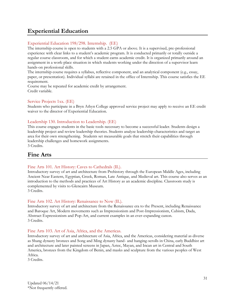## <span id="page-30-0"></span>**Experiential Education**

## Experiential Education 198/298. Internship. (EE)

The internship course is open to students with a 2.5 GPA or above. It is a supervised, pre-professional experience with clear links to a student's academic program. It is conducted primarily or totally outside a regular course classroom, and for which a student earns academic credit. It is organized primarily around an assignment in a work-place situation in which students working under the direction of a supervisor learn hands-on professional skills.

The internship course requires a syllabus, reflective component, and an analytical component (e.g., essay, paper, or presentation). Individual syllabi are retained in the office of Internship. This course satisfies the EE requirement.

Course may be repeated for academic credit by arrangement. Credit variable.

## Service Projects 1xx. (EE)

Students who participate in a Bryn Athyn College approved service project may apply to receive an EE credit waiver to the director of Experiential Education.

## Leadership 130. Introduction to Leadership. (EE)

This course engages students in the basic tools necessary to become a successful leader. Students design a leadership project and review leadership theories. Students analyze leadership characteristics and target an area for their own strengthening. Students set measurable goals that stretch their capabilities through leadership challenges and homework assignments. 3 Credits.

<span id="page-30-1"></span>

## **Fine Arts**

## Fine Arts 101. Art History: Caves to Cathedrals (IL).

Introductory survey of art and architecture from Prehistory through the European Middle Ages, including Ancient Near Eastern, Egyptian, Greek, Roman, Late Antique, and Medieval art. This course also serves as an introduction to the methods and practices of Art History as an academic discipline. Classroom study is complemented by visits to Glencairn Museum. 3 Credits.

## Fine Arts 102. Art History: Renaissance to Now (IL).

Introductory survey of art and architecture from the Renaissance era to the Present, including Renaissance and Baroque Art, Modern movements such as Impressionism and Post-Impressionism, Cubism, Dada, Abstract Expressionism and Pop-Art, and current examples in an ever-expanding canon. 3 Credits.

## Fine Arts 103. Art of Asia, Africa, and the Americas.

Introductory survey of art and architecture of Asia, Africa, and the Americas, considering material as diverse as Shang dynasty bronzes and Song and Ming dynasty hand- and hanging-scrolls in China, early Buddhist art and architecture and later painted screens in Japan, Aztec, Mayan, and Incan art in Central and South America, bronzes from the Kingdom of Benin, and masks and sculpture from the various peoples of West Africa.

3 Credits.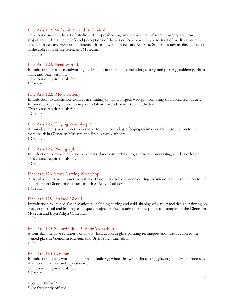## Fine Arts 112. Medieval Art and Its Revivals.

This course surveys the art of Medieval Europe, focusing on the evolution of sacred imagery and how it shapes and reflects the beliefs and perceptions of the period. Also covered are revivals of medieval style in nineteenth-century Europe and nineteenth- and twentieth-century America. Students study medieval objects in the collection of the Glencairn Museum.

3 Credits.

## Fine Arts 120. Metal Work I.

Introduction to basic metalworking techniques in fine metals, including cutting and piercing, soldering, chain links, and bezel settings. This course requires a lab fee. 3 Credits.

## Fine Arts 122. Metal Forging.

Introduction to artistic ironwork concentrating on hand-forged, wrought iron using traditional techniques. Inspired by the magnificent examples in Glencairn and Bryn Athyn Cathedral. This course requires a lab fee. 3 Credits.

## Fine Arts 123. Forging Workshop.\*

A four-day intensive summer workshop. Instruction in basic forging techniques and introduction to the metal work in Glencairn Museum and Bryn Athyn Cathedral. 1 Credit.

## Fine Arts 125. Photography.

Introduction to the use of various cameras, darkroom techniques, alternative processing, and basic design. This course requires a lab fee. 3 Credits.

## Fine Arts 126. Stone Carving Workshop.\*

A five-day intensive summer workshop. Instruction in basic stone carving techniques and introduction to the stonework in Glencairn Museum and Bryn Athyn Cathedral. 1 Credit.

## Fine Arts 128. Stained Glass I.

Introduction to stained glass techniques, including cutting and cold-shaping of glass, panel design, painting on glass, copper foil and leading techniques. Projects include study of and response to examples in the Glencairn Museum and Bryn Athyn Cathedral.

3 Credits.

## Fine Arts 129. Stained Glass Painting Workshop.\*

A four-day intensive summer workshop. Instruction in glass painting techniques and introduction to the stained glass in Glencairn Museum and Bryn Athyn Cathedral. 1 Credit.

## Fine Arts 130. Ceramics.

Introduction to clay work including hand building, wheel throwing, slip casting, glazing, and firing processes. Also form function and representation.

This course requires a lab fee. 3 Credits.

Updated 06/14/21 \*Not frequently offered.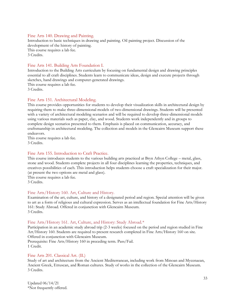## Fine Arts 140. Drawing and Painting.

Introduction to basic techniques in drawing and painting. Oil painting project. Discussion of the development of the history of painting. This course requires a lab fee. 3 Credits.

## Fine Arts 141. Building Arts Foundation I.

Introduction to the Building Arts curriculum by focusing on fundamental design and drawing principles essential to all craft disciplines. Students learn to communicate ideas, design and execute projects through sketches, hand drawings and computer-generated drawings.

This course requires a lab fee. 3 Credits.

## Fine Arts 151. Architectural Modeling.

This course provides opportunities for students to develop their visualization skills in architectural design by requiring them to make three-dimensional models of two-dimensional drawings. Students will be presented with a variety of architectural modeling scenarios and will be required to develop three-dimensional models using various materials such as paper, clay, and wood. Students work independently and in groups to complete design scenarios presented to them. Emphasis is placed on communication, accuracy, and craftsmanship in architectural modeling. The collection and models in the Glencairn Museum support these endeavors.

This course requires a lab fee. 3 Credits.

## Fine Arts 155. Introduction to Craft Practice.

This course introduces students to the various building arts practiced at Bryn Athyn College – metal, glass, stone and wood. Students complete projects in all four disciplines learning the properties, techniques, and creatives possibilities of each. This introduction helps students choose a craft specialization for their major. (at present the two options are metal and glass).

This course requires a lab fee. 3 Credits.

## Fine Arts/History 160. Art, Culture and History.

Examination of the art, culture, and history of a designated period and region. Special attention will be given to art as a form of religious and cultural expression. Serves as an intellectual foundation for Fine Arts/History 161: Study Abroad. Offered in conjunction with Glencairn Museum. 3 Credits.

## Fine Arts/History 161. Art, Culture, and History: Study Abroad.\*

Participation in an academic study abroad trip (2-3 weeks) focused on the period and region studied in Fine Art/History 160. Students are required to present research completed in Fine Arts/History 160 on site. Offered in conjunction with Glencairn Museum. Prerequisite: Fine Arts/History 160 in preceding term. Pass/Fail.

1 Credit.

## Fine Arts 201. Classical Art. (IL)

Study of art and architecture from the Ancient Mediterranean, including work from Minoan and Mycenaean, Ancient Greek, Etruscan, and Roman cultures. Study of works in the collection of the Glencairn Museum. 3 Credits.

Updated 06/14/21 \*Not frequently offered.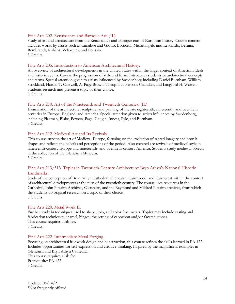## Fine Arts 202. Renaissance and Baroque Art. (IL)

Study of art and architecture from the Renaissance and Baroque eras of European history. Course content includes works by artists such as Cimabue and Giotto, Botticelli, Michelangelo and Leonardo, Bernini, Rembrandt, Rubens, Velazquez, and Poussin. 3 Credits.

## Fine Arts 205. Introduction to American Architectural History.

An overview of architectural developments in the United States within the larger context of American ideals and historic events. Covers the progression of style and form. Introduces students to architectural concepts and terms. Special attention given to artists influenced by Swedenborg including Daniel Burnham, William Strickland, Harold T. Carswell, A. Page Brown, Theophilus Parsons Chandler, and Langford H. Warren. Students research and present a topic of their choice. 3 Credits.

## Fine Arts 210. Art of the Nineteenth and Twentieth Centuries. (IL)

Examination of the architecture, sculpture, and painting of the late eighteenth, nineteenth, and twentieth centuries in Europe, England, and America. Special attention given to artists influences by Swedenborg, including Flaxman, Blake, Powers, Page, Gaugin, Inness, Pyle, and Burnham. 3 Credits.

## Fine Arts 212. Medieval Art and Its Revivals.

This course surveys the art of Medieval Europe, focusing on the evolution of sacred imagery and how it shapes and reflects the beliefs and perceptions of the period. Also covered are revivals of medieval style in nineteenth-century Europe and nineteenth- and twentieth-century America. Students study medieval objects in the collection of the Glencairn Museum. 3 Credits.

## Fine Arts 213/313. Topics in Twentieth-Century Architecture: Bryn Athyn's National Historic Landmarks.

Study of the conception of Bryn Athyn Cathedral, Glencairn, Cairnwood, and Cairncrest within the context of architectural developments at the turn of the twentieth century. The course uses resources in the Cathedral, John Pitcairn Archives, Glencairn, and the Raymond and Mildred Pitcairn archives, from which the students do original research on a topic of their choice. 3 Credits.

## Fine Arts 220. Metal Work II.

Further study in techniques used to shape, join, and color fine metals. Topics may include casting and fabrication techniques, enamel, hinges, the setting of cabochon and/or faceted stones. This course requires a lab fee. 3 Credits.

## Fine Arts 222. Intermediate Metal Forging.

Focusing on architectural ironwork design and construction, this course refines the skills learned in FA 122. Includes opportunities for self-expression and creative thinking. Inspired by the magnificent examples in Glencairn and Bryn Athyn Cathedral. This course requires a lab fee. Prerequisite: FA 122. 3 Credits.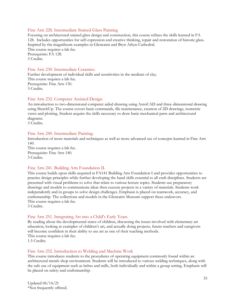## Fine Arts 228. Intermediate Stained Glass Painting

Focusing on architectural stained glass design and construction, this course refines the skills learned in FA 128. Includes opportunities for self-expression and creative thinking, repair and restoration of historic glass. Inspired by the magnificent examples in Glencairn and Bryn Athyn Cathedral. This course requires a lab fee. Prerequisite: FA 128. 3 Credits.

## Fine Arts 230. Intermediate Ceramics.

Further development of individual skills and sensitivities in the medium of clay. This course requires a lab fee. Prerequisite: Fine Arts 130. 3 Credits.

## Fine Arts 232. Computer Assisted Design.

An introduction to two-dimensional computer aided drawing using AutoCAD and three-dimensional drawing using SketchUp. The course covers basic commands, file maintenance, creation of 2D drawings, isometric views and plotting. Student acquire the skills necessary to draw basic mechanical parts and architectural diagrams.

3 Credits.

## Fine Arts 240. Intermediate Painting.

Introduction of more materials and techniques as well as more advanced use of concepts learned in Fine Arts 140.

This course requires a lab fee. Prerequisite: Fine Arts 140. 3 Credits.

## Fine Arts 241. Building Arts Foundation II.

This course builds upon skills acquired in FA141 Building Arts Foundation I and provides opportunities to practice design principles while further developing the hand skills essential to all craft disciplines. Students are presented with visual problems to solve that relate to various lecture topics. Students use preparatory drawings and models to communicate ideas then execute projects in a variety of materials. Students work independently and in groups to solve design challenges. Emphasis is placed on teamwork, accuracy, and craftsmanship. The collections and models in the Glencairn Museum support these endeavors. This course requires a lab fee. 3 Credits.

## Fine Arts 251. Integrating Art into a Child's Early Years.

By reading about the developmental states of children, discussing the issues involved with elementary art education, looking at examples of children's art, and actually doing projects, future teachers and caregivers will become confident in their ability to use art as one of their teaching methods. This course requires a lab fee.

1.5 Credits.

## Fine Arts 252. Introduction to Welding and Machine Work

This course introduces students to the procedures of operating equipment commonly found within an architectural metals shop environment. Students will be introduced to various welding techniques, along with the safe use of equipment such as lathes and mills, both individually and within a group setting. Emphasis will be placed on safety and craftsmanship.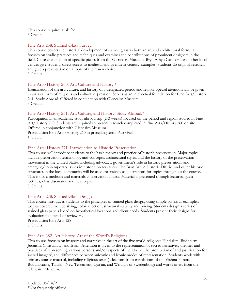This course requires a lab fee. 3 Credits.

## Fine Arts 258. Stained Glass Survey.

This course covers the historical development of stained glass as both an art and architectural form. It focuses on studio practices and techniques and examines the contributions of prominent designers in the field. Close examination of specific pieces from the Glencairn Museum, Bryn Athyn Cathedral and other local venues give students direct access to medieval and twentieth-century examples. Students do original research and give a presentation on a topic of their own choice. 3 Credits.

## Fine Arts/History 260. Art, Culture and History.\*

Examination of the art, culture, and history of a designated period and region. Special attention will be given to art as a form of religious and cultural expression. Serves as an intellectual foundation for Fine Arts/History 261: Study Abroad. Offered in conjunction with Glencairn Museum. 3 Credits.

## Fine Arts/History 261. Art, Culture, and History: Study Abroad.\*

Participation in an academic study abroad trip (2-3 weeks) focused on the period and region studied in Fine Art/History 260. Students are required to present research completed in Fine Arts/History 260 on site. Offered in conjunction with Glencairn Museum.

Prerequisite: Fine Arts/History 260 in preceding term. Pass/Fail. 1 Credit.

## Fine Arts/History 271. Introduction to Historic Preservation.

This course will introduce students to the basic theory and practice of historic preservation. Major topics include preservation terminology and concepts, architectural styles, and the history of the preservation movement in the United States, including advocacy, government's role in historic preservation, and emerging/contemporary issues in historic preservation. The Bryn Athyn Historic District and other historic structures in the local community will be used extensively as illustrations for topics throughout the course. This is not a methods and materials conservation course. Material is presented through lectures, guest lectures, class discussion and field trips.

3 Credits.

## Fine Arts 278. Stained Glass Design

This course introduces students to the principles of stained glass design, using simple panels as examples. Topics covered include sizing, color selection, structural stability and pricing. Students design a series of stained glass panels based on hypothetical locations and client needs. Students present their designs for evaluation to a panel of reviewers.

Prerequisite: Fine Arts 128 3 Credits.

## Fine Arts 282. Art History: Art of the World's Religions.

This course focuses on imagery and narrative in the art of the five world religions: Hinduism, Buddhism, Judaism, Christianity, and Islam. Attention is given to the representation of sacred narratives, theories and practices of representing various persons and/or aspects of the Divine, the prohibition of and justification for sacred imagery, and differences between aniconic and iconic modes of representation. Students work with primary source material, including religious texts (selections from translations of the Vishnu Purana, Buddhacarita, Tanakh, New Testament, Qur'an, and Writings of Swedenborg) and works of art from the Glencairn Museum.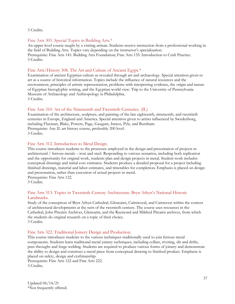3 Credits.

#### Fine Arts 305. Special Topics in Building Arts.\*

An upper-level course taught by a visiting artisan. Students receive instruction from a professional working in the field of Building Arts. Topics vary depending on the instructor's specialization. Prerequisite: Fine Arts 141: Building Arts Foundation; Fine Arts 155: Introduction to Craft Practice. 3 Credits.

#### Fine Arts/History 308. The Art and Culture of Ancient Egypt.\*

Examination of ancient Egyptian culture as revealed through art and archaeology. Special attention given to art as a source of historical information. Topics include the influence of natural resources and the environment, principles of artistic representation, problems with interpreting evidence, the origin and nature of Egyptian hieroglyphic writing, and the Egyptian world view. Trip to the University of Pennsylvania Museum of Archaeology and Anthropology in Philadelphia. 3 Credits.

#### Fine Arts 310. Art of the Nineteenth and Twentieth-Centuries. (IL)

Examination of the architecture, sculpture, and painting of the late eighteenth, nineteenth, and twentieth centuries in Europe, England and America. Special attention given to artists influenced by Swedenborg, including Flaxman, Blake, Powers, Page, Gauguin, Inness, Pyle, and Burnham. Prerequisite: Any IL art history course, preferably 200 level. 3 Credits.

#### Fine Arts 312. Introduction to Metal Design.

This course introduces students to the processes employed in the design and presentation of projects in architectural / ferrous metals – iron and steel. Responding to various scenarios, including both replication and the opportunity for original work, students plan and design projects in metal. Student work includes conceptual drawings and initial cost estimates. Students produce a detailed proposal for a project including finished drawings, material and labor estimates, and timetables for completion. Emphasis is placed on design and presentation, rather than execution of actual projects in metal. Prerequisite: Fine Arts 122.

3 Credits.

## Fine Arts 313. Topics in Twentieth-Century Architecture: Bryn Athyn's National Historic Landmarks.

Study of the conception of Bryn Athyn Cathedral, Glencairn, Cairnwood, and Cairncrest within the context of architectural developments at the turn of the twentieth century. The course uses resources in the Cathedral, John Pitcairn Archives, Glencairn, and the Raymond and Mildred Pitcairn archives, from which the students do original research on a topic of their choice. 3 Credits.

#### Fine Arts 322. Traditional Joinery Design and Production.

This course introduces students to the various techniques traditionally used to join ferrous metal components. Students learn traditional metal joinery techniques, including collars, riveting, slit and drifts, pass-throughs and forge welding. Students are required to produce various forms of joinery and demonstrate the ability to design and construct a metal piece from conceptual drawing to finished product. Emphasis is placed on safety, design and craftmanship.

Prerequisite: Fine Arts 122 and Fine Arts 222. 3 Credits.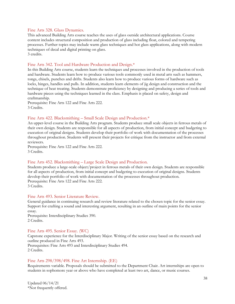#### Fine Arts 328. Glass Dynamics.

This advanced Building Arts course teaches the uses of glass outside architectural applications. Course content includes structural composition and production of glass including float, colored and tempering processes. Further topics may include warm glass techniques and hot glass applications, along with modern techniques of decal and digital printing on glass. 3 credits.

## Fine Arts 342. Tool and Hardware Production and Design.\*

In this Building Arts course, students learn the techniques and processes involved in the production of tools and hardware. Students learn how to produce various tools commonly used in metal arts such as hammers, tongs, chisels, punches and drifts. Students also learn how to produce various forms of hardware such as locks, hinges, handles and pulls. In addition, students learn elements of jig design and construction and the technique of heat treating. Students demonstrate proficiency by designing and producing a series of tools and hardware pieces using the techniques learned in the class. Emphasis is placed on safety, design and craftmanship.

Prerequisite: Fine Arts 122 and Fine Arts 222. 3 Credits.

#### Fine Arts 422. Blacksmithing – Small Scale Design and Production.\*

An upper-level course in the Building Arts program. Students produce small scale objects in ferrous metals of their own design. Students are responsible for all aspects of production, from initial concept and budgeting to execution of original designs. Students develop their portfolio of work with documentation of the processes throughout production. Students will present their projects for critique from the instructor and from external reviewers.

Prerequisite: Fine Arts 122 and Fine Arts 222. 3 Credits.

#### Fine Arts 452. Blacksmithing – Large Scale Design and Production.

Students produce a large-scale object/project in ferrous metals of their own design. Students are responsible for all aspects of production, from initial concept and budgeting to execution of original designs. Students develop their portfolio of work with documentation of the processes throughout production. Prerequisite: Fine Arts 122 and Fine Arts 222. 3 Credits.

#### Fine Arts 493. Senior Literature Review.

General guidance in continuing research and review literature related to the chosen topic for the senior essay. Support for crafting a sound and interesting argument, resulting in an outline of main points for the senior essay.

Prerequisite: Interdisciplinary Studies 390. 2 Credits.

#### Fine Arts 495. Senior Essay. (WC)

Capstone experience for the Interdisciplinary Major. Writing of the senior essay based on the research and outline produced in Fine Arts 493. Prerequisites: Fine Arts 493 and Interdisciplinary Studies 494.

2 Credits.

#### Fine Arts 298/398/498. Fine Art Internship. (EE)

Requirements variable. Proposals should be submitted to the Department Chair. Art internships are open to students in sophomore year or above who have completed at least two art, dance, or music courses.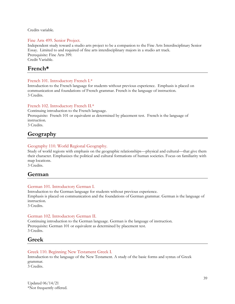Credits variable.

### Fine Arts 499. Senior Project.

Independent study toward a studio arts project to be a companion to the Fine Arts Interdisciplinary Senior Essay. Limited to and required of fine arts interdisciplinary majors in a studio art track. Prerequisite: Fine Arts 399. Credit Variable.

## **French\***

## French 101. Introductory French I.\*

Introduction to the French language for students without previous experience. Emphasis is placed on communication and foundations of French grammar. French is the language of instruction. 3 Credits.

## French 102. Introductory French II.\*

Continuing introduction to the French language. Prerequisite: French 101 or equivalent as determined by placement test. French is the language of instruction. 3 Credits.

# **Geography**

## Geography 110. World Regional Geography.

Study of world regions with emphasis on the geographic relationships—physical and cultural—that give them their character. Emphasizes the political and cultural formations of human societies. Focus on familiarity with map locations.

3 Credits.

## **German**

## German 101. Introductory German I.

Introduction to the German language for students without previous experience. Emphasis is placed on communication and the foundations of German grammar. German is the language of instruction.

3 Credits.

## German 102. Introductory German II.

Continuing introduction to the German language. German is the language of instruction. Prerequisite: German 101 or equivalent as determined by placement test. 3 Credits.

# **Greek**

## Greek 110. Beginning New Testament Greek I.

Introduction to the language of the New Testament. A study of the basic forms and syntax of Greek grammar.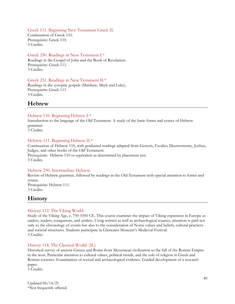Greek 111. Beginning New Testament Greek II. Continuation of Greek 110.

Prerequisite: Greek 110. 3 Credits.

## Greek 250. Readings in New Testament I.\*

Readings in the Gospel of John and the Book of Revelation. Prerequisite: Greek 111. 3 Credits.

Greek 251. Readings in New Testament II.\* Readings in the synoptic gospels (Matthew, Mark and Luke). Prerequisite: Greek 111. 3 Credits.

# **Hebrew**

## Hebrew 110. Beginning Hebrew I.\*

Introduction to the language of the Old Testament. A study of the basic forms and syntax of Hebrew grammar.

3 Credits.

## Hebrew 111. Beginning Hebrew II.\*

Continuation of Hebrew 110, with graduated readings adapted from Genesis, Exodus, Deuteronomy, Joshua, Judges, and other books of the Old Testament. Prerequisite: Hebrew 110 or equivalent as determined by placement test. 3 Credits.

#### Hebrew 250. Intermediate Hebrew.

Review of Hebrew grammar, followed by readings in the Old Testament with special attention to forms and syntax. Prerequisite: Hebrew 111.

3 Credits.

# **History**

## History 112. The Viking World.

Study of the Viking Age, c. 750-1050 CE. This course examines the impact of Viking expansion in Europe as raiders, traders, conquerors, and settlers. Using written as well as archaeological sources, attention is paid not only to the chronology of events but also to the consideration of Norse values and beliefs, cultural practices and societal structures. Students participate in Glencairn Museum's Medieval Festival. 3 Credits.

## History 114. The Classical World. (IL)

Historical survey of ancient Greece and Rome from Mycenaean civilization to the fall of the Roman Empire in the west. Particular attention to cultural values, political trends, and the role of religion in Greek and Roman societies. Examination of textual and archaeological evidence. Guided development of a research paper.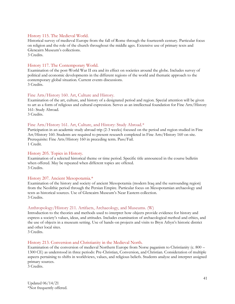## History 115. The Medieval World.

Historical survey of medieval Europe from the fall of Rome through the fourteenth century. Particular focus on religion and the role of the church throughout the middle ages. Extensive use of primary texts and Glencairn Museum's collections. 3 Credits.

History 117. The Contemporary World.

Examination of the post-World War II era and its effect on societies around the globe. Includes survey of political and economic developments in the different regions of the world and thematic approach to the contemporary global situation. Current events discussions. 3 Credits.

## Fine Arts/History 160. Art, Culture and History.

Examination of the art, culture, and history of a designated period and region. Special attention will be given to art as a form of religious and cultural expression. Serves as an intellectual foundation for Fine Arts/History 161: Study Abroad.

3 Credits.

#### Fine Arts/History 161. Art, Culture, and History: Study Abroad.\*

Participation in an academic study abroad trip (2-3 weeks) focused on the period and region studied in Fine Art/History 160. Students are required to present research completed in Fine Arts/History 160 on site. Prerequisite: Fine Arts/History 160 in preceding term. Pass/Fail. 1 Credit.

#### History 205. Topics in History.

Examination of a selected historical theme or time period. Specific title announced in the course bulletin when offered. May be repeated when different topics are offered. 3 Credits.

#### History 207. Ancient Mesopotamia.\*

Examination of the history and society of ancient Mesopotamia (modern Iraq and the surrounding region) from the Neolithic period through the Persian Empire. Particular focus on Mesopotamian archaeology and texts as historical sources. Use of Glencairn Museum's Near Eastern collection. 3 Credits.

#### Anthropology/History 211. Artifacts, Archaeology, and Museums. (W)

Introduction to the theories and methods used to interpret how objects provide evidence for history and express a society's values, ideas, and attitudes. Includes examination of archaeological method and ethics, and the use of objects in a museum setting. Use of hands-on projects and visits to Bryn Athyn's historic district and other local sites.

3 Credits.

#### History 213. Conversion and Christianity in the Medieval North.

Examination of the conversion of medieval Northern Europe from Norse paganism to Christianity (c. 800 – 1300 CE) as understood in three periods: Pre-Christian, Conversion, and Christian. Consideration of multiple aspects pertaining to shifts in worldviews, values, and religious beliefs. Students analyze and interpret assigned primary sources.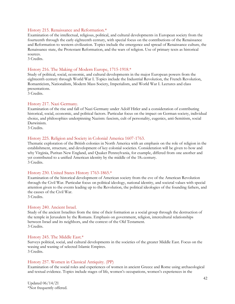#### History 215. Renaissance and Reformation.\*

Examination of the intellectual, religious, political, and cultural developments in European society from the fourteenth through the early eighteenth century, with special focus on the contributions of the Renaissance and Reformation to western civilization. Topics include the emergence and spread of Renaissance culture, the Renaissance state, the Protestant Reformation, and the wars of religion. Use of primary texts as historical sources.

3 Credits.

#### History 216. The Making of Modern Europe, 1715-1918.\*

Study of political, social, economic, and cultural developments in the major European powers from the eighteenth century through World War I. Topics include the Industrial Revolution, the French Revolution, Romanticism, Nationalism, Modern Mass Society, Imperialism, and World War I. Lectures and class presentations.

3 Credits.

#### History 217. Nazi Germany.

Examination of the rise and fall of Nazi Germany under Adolf Hitler and a consideration of contributing historical, social, economic, and political factors. Particular focus on the impact on German society, individual choice, and philosophies underpinning Nazism: fascism, cult of personality, eugenics, anti-Semitism, social Darwinism.

3 Credits.

#### History 225. Religion and Society in Colonial America 1607-1763.

Thematic exploration of the British colonies in North America with an emphasis on the role of religion in the establishment, structure, and development of key colonial societies. Consideration will be given to how and why Virginia, Puritan New England, and Quaker Pennsylvania, for example, differed from one another and yet contributed to a unified American identity by the middle of the  $18<sub>th</sub>$  century. 3 Credits.

#### History 230. United States History 1763-1865.\*

Examination of the historical development of American society from the eve of the American Revolution through the Civil War. Particular focus on political ideology, national identity, and societal values with special attention given to the events leading up to the Revolution, the political ideologies of the founding fathers, and the causes of the Civil War.

3 Credits.

#### History 240. Ancient Israel.

Study of the ancient Israelites from the time of their formation as a social group through the destruction of the temple in Jerusalem by the Romans. Emphasis on government, religion, intercultural relationships between Israel and its neighbors, and the context of the Old Testament. 3 Credits.

#### History 245. The Middle East.\*

Surveys political, social, and cultural developments in the societies of the greater Middle East. Focus on the waxing and waning of selected Islamic Empires. 3 Credits.

#### History 257. Women in Classical Antiquity. (PP)

Examination of the social roles and experiences of women in ancient Greece and Rome using archaeological and textual evidence. Topics include stages of life, women's occupations, women's experiences in the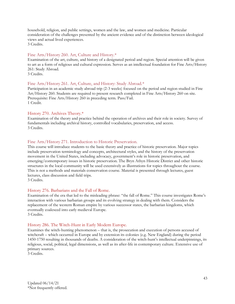household, religion, and public settings, women and the law, and women and medicine. Particular consideration of the challenges presented by the ancient evidence and of the distinction between ideological views and actual lived experiences.

3 Credits.

## Fine Arts/History 260. Art, Culture and History.\*

Examination of the art, culture, and history of a designated period and region. Special attention will be given to art as a form of religious and cultural expression. Serves as an intellectual foundation for Fine Arts/History 261: Study Abroad.

3 Credits.

## Fine Arts/History 261. Art, Culture, and History: Study Abroad.\*

Participation in an academic study abroad trip (2-3 weeks) focused on the period and region studied in Fine Art/History 260. Students are required to present research completed in Fine Arts/History 260 on site. Prerequisite: Fine Arts/History 260 in preceding term. Pass/Fail. 1 Credit.

#### History 270. Archives Theory.\*

Examination of the theory and practice behind the operation of archives and their role in society. Survey of fundamentals including archival history, controlled vocabularies, preservation, and access. 3 Credits.

## Fine Arts/History 271. Introduction to Historic Preservation.

This course will introduce students to the basic theory and practice of historic preservation. Major topics include preservation terminology and concepts, architectural styles, and the history of the preservation movement in the United States, including advocacy, government's role in historic preservation, and emerging/contemporary issues in historic preservation. The Bryn Athyn Historic District and other historic structures in the local community will be used extensively as illustrations for topics throughout the course. This is not a methods and materials conservation course. Material is presented through lectures, guest lectures, class discussion and field trips.

3 Credits.

#### History 276. Barbarians and the Fall of Rome.

Examination of the era that led to the misleading phrase: "the fall of Rome." This course investigates Rome's interaction with various barbarian groups and its evolving strategy in dealing with them. Considers the replacement of the western Roman empire by various successor states, the barbarian kingdoms, which eventually coalesced into early medieval Europe. 3 Credits.

#### History 286. The Witch-Hunt in Early Modern Europe.

Examines the witch-hunting phenomenon – that is, the prosecution and execution of persons accused of witchcraft – which occurred in Europe and by extension its colonies (e.g. New England) during the period 1450-1750 resulting in thousands of deaths. A consideration of the witch-hunt's intellectual underpinnings, its religious, social, political, legal dimensions, as well as its after-life in contemporary culture. Extensive use of primary sources.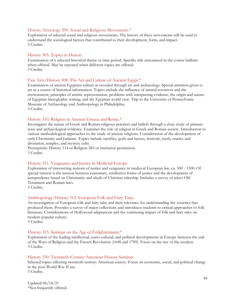#### History/Sociology 290. Social and Religious Movements.\*

Exploration of selected social and religious movements. The history of these movements will be used to understand the sociological factors that contributed to their development, form, and impact. 3 Credits.

#### History 305. Topics in History.

Examination of a selected historical theme or time period. Specific title announced in the course bulletin when offered. May be repeated when different topics are offered. 3 Credits.

#### Fine Arts/History 308. The Art and Culture of Ancient Egypt.\*

Examination of ancient Egyptian culture as revealed through art and archaeology. Special attention given to art as a source of historical information. Topics include the influence of natural resources and the environment, principles of artistic representation, problems with interpreting evidence, the origin and nature of Egyptian hieroglyphic writing, and the Egyptian world view. Trip to the University of Pennsylvania Museum of Archaeology and Anthropology in Philadelphia. 3 Credits.

#### History 310. Religion in Ancient Greece and Rome.\*

Investigates the nature of Greek and Roman religious practices and beliefs through a close study of primary texts and archaeological evidence. Examines the role of religion in Greek and Roman society. Introduction to various methodological approaches to the study of ancient religions. Consideration of the development of early Christianity and Judaism. Topics include sacrifice, gods and heroes, festivals, myth, oracles and divination, temples, and mystery cults.

Prerequisite: History 114 or Religion 283 or instructor permission. 3 Credits.

#### History 311. Vengeance and Justice in Medieval Europe.

Exploration of intersecting notions of justice and vengeance in medieval European law, ca. 500 - 1500. Of special interest is the tension between customary, retributive forms of justice and the development of jurisprudence based on Christianity and ideals of Christian rulership. Includes a survey of select Old Testament and Roman laws.

3 Credits.

#### Anthropology/History 312. European Folk and Fairy Tales.

An investigation of European folk and fairy tales and their relevance for understanding the societies that produced them. Provides a survey of major collections and introduces students to critical approaches to folk literature. Considerations of Hollywood adaptations and the continuing impact of folk and fairy tales on modern popular culture.

3 Credits.

#### History 315. Seminar on the Age of Enlightenment.\*

Exploration of the leading intellectual, socio-cultural, and political developments in Europe between the end of the Wars of Religion and the French Revolution (1648 and 1789). Focus on the rise of the modern. 3 Credits.

#### History 330. Twentieth-Century American History Seminar.

Selected topics affecting twentieth-century American society. Focus on economic, social, and political change in the post-World War II era.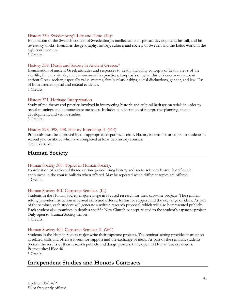## History 350. Swedenborg's Life and Time. (IL)\*

Exploration of the Swedish context of Swedenborg's intellectual and spiritual development, his call, and his revelatory works. Examines the geography, history, culture, and society of Sweden and the Baltic world in the eighteenth century.

3 Credits.

### History 359. Death and Society in Ancient Greece.\*

Examination of ancient Greek attitudes and responses to death, including concepts of death, views of the afterlife, funerary rituals, and commemoration practices. Emphasis on what this evidence reveals about ancient Greek society, especially value systems, family relationships, social distinctions, gender, and law. Use of both archaeological and textual evidence. 3 Credits.

## History 371. Heritage Interpretation.

Study of the theory and practice involved in interpreting historic and cultural heritage materials in order to reveal meanings and communicate messages. Includes consideration of interpretive planning, theme development, and visitor studies. 3 Credits.

#### History 298, 398, 498. History Internship II. (EE)

Proposals must be approved by the appropriate department chair. History internships are open to students in second year or above who have completed at least two history courses. Credit variable.

# **Human Society**

#### Human Society 305. Topics in Human Society.

Examination of a selected theme or time period using history and social sciences lenses. Specific title announced in the course bulletin when offered. May be repeated when different topics are offered. 3 Credits.

#### Human Society 401. Capstone Seminar. (IL)

Students in the Human Society major engage in focused research for their capstone projects. The seminar setting provides instruction in related skills and offers a forum for support and the exchange of ideas. As part of the seminar, each student will generate a written research proposal, which will also be presented publicly. Each student also examines in depth a specific New Church concept related to the student's capstone project. Only open to Human Society majors.

3 Credits.

#### Human Society 402. Capstone Seminar II. (WC)

Students in the Human Society major write their capstone projects. The seminar setting provides instruction in related skills and offers a forum for support and the exchange of ideas. As part of the seminar, students present the results of their research publicly and design posters. Only open to Human Society majors. Prerequisite: HSoc 401.

3 Credits.

# **Independent Studies and Honors Contracts**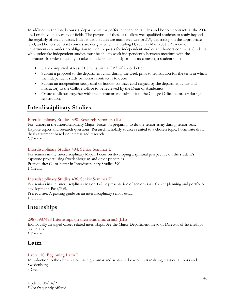In addition to the listed courses, departments may offer independent studies and honors contracts at the 200 level or above in a variety of fields. The purpose of these is to allow well-qualified students to study beyond the regularly offered courses. Independent studies are numbered 299 or 399, depending on the appropriate level, and honors contract courses are designated with a trailing H, such as Math205H. Academic departments are under no obligation to meet requests for independent studies and honors contracts. Students who undertake independent studies must be able to work independently between meetings with the instructor. In order to qualify to take an independent study or honors contract, a student must:

- Have completed at least 31 credits with a GPA of 2.7 or better
- Submit a proposal to the department chair during the week prior to registration for the term in which the independent study or honors contract is to occur.
- Submit an independent study card or honors contract card (signed by the department chair and instructor) to the College Office to be reviewed by the Dean of Academics.
- Create a syllabus together with the instructor and submit it to the College Office before or during registration.

# **Interdisciplinary Studies**

## Interdisciplinary Studies 390. Research Seminar. (IL)

For juniors in the Interdisciplinary Major. Focus on preparing to do the senior essay during senior year. Explore topics and research questions. Research scholarly sources related to a chosen topic. Formulate draft thesis statement based on interest and research.

2 Credits.

## Interdisciplinary Studies 494. Senior Seminar I.

For seniors in the Interdisciplinary Major. Focus on developing a spiritual perspective on the student's capstone project using Swedenborgian and other principles. Prerequisite: C– or better in Interdisciplinary Studies 390. 1 Credit.

#### Interdisciplinary Studies 496. Senior Seminar II.

For seniors in the Interdisciplinary Major. Public presentation of senior essay. Career planning and portfolio development. Pass/Fail.

Prerequisite: A passing grade on an interdisciplinary senior essay. 1 Credit.

# **Internships**

## 298/398/498 Internships (in their academic areas) (EE)

Individually arranged career related internships. See the Major Department Head or Director of Internships for details.

3 Credits.

## **Latin**

## Latin 110. Beginning Latin I.

Introduction to the elements of Latin grammar and syntax to be used in translating classical authors and Swedenborg.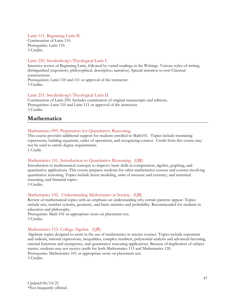### Latin 111. Beginning Latin II.

Continuation of Latin 110. Prerequisite: Latin 110. 3 Credits.

## Latin 250. Swedenborg's Theological Latin I.

Intensive review of Beginning Latin, followed by varied readings in the Writings. Various styles of writing distinguished (expository, philosophical, descriptive, narrative). Special attention to non-Classical constructions. Prerequisites: Latin 110 and 111 or approval of the instructor.

3 Credits.

## Latin 251. Swedenborg's Theological Latin II.

Continuation of Latin 250. Includes examination of original manuscripts and editions. Prerequisites: Latin 110 and Latin 111 or approval of the instructor. 3 Credits.

# **Mathematics**

## Mathematics 095. Preparation for Quantitative Reasoning.

This course provides additional support for students enrolled in Math101. Topics include translating expressions, building equations, order of operations, and recognizing context. Credit from this course may not be used to satisfy degree requirements.

1 Credit.

## Mathematics 101. Introduction to Quantitative Reasoning. (QR)

Introduction to mathematical concepts to improve basic skills in computation, algebra, graphing, and quantitative applications. This course prepares students for other mathematics courses and courses involving quantitative reasoning. Topics include linear modeling, units of measure and currency, and statistical reasoning, and financial topics.

3 Credits.

## Mathematics 102. Understanding Mathematics in Society. (QR)

Review of mathematical topics with an emphasis on understanding why certain patterns appear. Topics include sets, number systems, geometry, and basic statistics and probability. Recommended for students in education and philosophy.

Prerequisite: Math 101 or appropriate score on placement test. 3 Credits.

## Mathematics 115. College Algebra. (QR)

Algebraic topics designed to assist in the use of mathematics in science courses. Topics include exponents and radicals, rational expressions, inequalities, complex numbers, polynomial analysis and advanced factoring, rational functions and asymptotes, and quantitative reasoning applications. Because of duplication of subject matter, students may not receive credit for both Mathematics 115 and Mathematics 120. Prerequisite: Mathematics 101 or appropriate score on placement test. 3 Credits.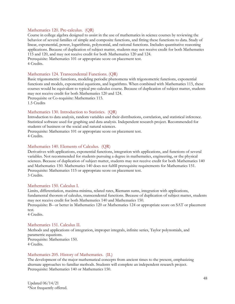#### Mathematics 120. Pre-calculus. (QR)

Course in college algebra designed to assist in the use of mathematics in science courses by reviewing the behavior of several families of simple and composite functions, and fitting these functions to data. Study of linear, exponential, power, logarithmic, polynomial, and rational functions. Includes quantitative reasoning applications. Because of duplication of subject matter, students may not receive credit for both Mathematics 115 and 120, and may not receive credit for both Mathematics 120 and 124. Prerequisite: Mathematics 101 or appropriate score on placement test.

4 Credits.

#### Mathematics 124. Transcendental Functions. (QR)

Basic trigonometric functions, modeling periodic phenomena with trigonometric functions, exponential functions and models, exponential equations, and logarithms. When combined with Mathematics 115, these courses would be equivalent to typical pre-calculus course. Because of duplication of subject matter, students may not receive credit for both Mathematics 120 and 124.

Prerequisite or Co-requisite: Mathematics 115. 1.5 Credits

#### Mathematics 130. Introduction to Statistics. (QR)

Introduction to data analysis, random variables and their distributions, correlation, and statistical inference. Statistical software used for graphing and data analysis. Independent research project. Recommended for students of business or the social and natural sciences.

Prerequisite: Mathematics 101 or appropriate score on placement test. 4 Credits.

#### Mathematics 140. Elements of Calculus. (QR)

Derivatives with applications, exponential functions, integration with applications, and functions of several variables. Not recommended for students pursuing a degree in mathematics, engineering, or the physical sciences. Because of duplication of subject matter, students may not receive credit for both Mathematics 140 and Mathematics 150. Mathematics 140 does not fulfill prerequisite requirements for Mathematics 151. Prerequisite: Mathematics 115 or appropriate score on placement test. 3 Credits.

#### Mathematics 150. Calculus I.

Limits, differentiation, maxima-minima, related rates, Riemann sums, integration with applications, fundamental theorem of calculus, transcendental functions. Because of duplication of subject matter, students may not receive credit for both Mathematics 140 and Mathematics 150.

Prerequisite: B– or better in Mathematics 120 or Mathematics 124 or appropriate score on SAT or placement test.

4 Credits.

#### Mathematics 151. Calculus II.

Methods and applications of integration, improper integrals, infinite series, Taylor polynomials, and parametric equations. Prerequisite: Mathematics 150. 4 Credits.

#### Mathematics 205. History of Mathematics. (IL)

The development of the major mathematical concepts from ancient times to the present, emphasizing alternate approaches to familiar methods. Students will complete an independent research project. Prerequisite: Mathematics 140 or Mathematics 150.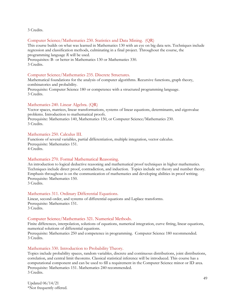3 Credits.

#### Computer Science/Mathematics 230. Statistics and Data Mining. (QR)

This course builds on what was learned in Mathematics 130 with an eye on big data sets. Techniques include regression and classification methods, culminating in a final project. Throughout the course, the programming language *R* will be used.

Prerequisites: B- or better in Mathematics 130 or Mathematics 330. 3 Credits.

#### Computer Science/Mathematics 235. Discrete Structures.

Mathematical foundations for the analysis of computer algorithms. Recursive functions, graph theory, combinatorics and probability.

Prerequisite: Computer Science 180 or competence with a structured programming language. 3 Credits.

#### Mathematics 240. Linear Algebra. (QR)

Vector spaces, matrices, linear transformations, systems of linear equations, determinants, and eigenvalue problems. Introduction to mathematical proofs.

Prerequisite: Mathematics 140, Mathematics 150, or Computer Science/Mathematics 230. 3 Credits.

#### Mathematics 250. Calculus III.

Functions of several variables, partial differentiation, multiple integration, vector calculus. Prerequisite: Mathematics 151. 4 Credits.

## Mathematics 270. Formal Mathematical Reasoning.

An introduction to logical deductive reasoning and mathematical proof techniques in higher mathematics. Techniques include direct proof, contradiction, and induction. Topics include set theory and number theory. Emphasis throughout is on the communication of mathematics and developing abilities in proof writing. Prerequisite: Mathematics 150.

3 Credits.

#### Mathematics 311. Ordinary Differential Equations.

Linear, second-order, and systems of differential equations and Laplace transforms. Prerequisite: Mathematics 151. 3 Credits.

#### Computer Science/Mathematics 321. Numerical Methods.

Finite differences, interpolation, solutions of equations, numerical integration, curve fitting, linear equations, numerical solutions of differential equations.

Prerequisite: Mathematics 250 and competence in programming. Computer Science 180 recommended. 3 Credits.

#### Mathematics 330. Introduction to Probability Theory.

Topics include probability spaces, random variables, discrete and continuous distributions, joint distributions, correlation, and central limit theorems. Classical statistical inference will be introduced. This course has a computational component and can be used to fill a requirement in the Computer Science minor or ID area. Prerequisite: Mathematics 151. Mathematics 240 recommended. 3 Credits.

Updated 06/14/21 \*Not frequently offered.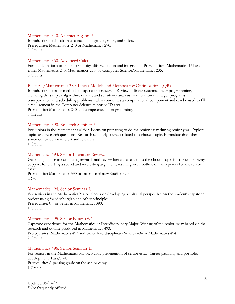#### Mathematics 340. Abstract Algebra.\*

Introduction to the abstract concepts of groups, rings, and fields. Prerequisite: Mathematics 240 or Mathematics 270. 3 Credits.

#### Mathematics 360. Advanced Calculus.

Formal definitions of limits, continuity, differentiation and integration. Prerequisites: Mathematics 151 and either Mathematics 240, Mathematics 270, or Computer Science/Mathematics 235. 3 Credits.

#### Business/Mathematics 380. Linear Models and Methods for Optimization. (QR)

Introduction to basic methods of operations research. Review of linear systems; linear programming, including the simplex algorithm, duality, and sensitivity analysis; formulation of integer programs; transportation and scheduling problems. This course has a computational component and can be used to fill a requirement in the Computer Science minor or ID area.

Prerequisite: Mathematics 240 and competence in programming. 3 Credits.

#### Mathematics 390. Research Seminar.\*

For juniors in the Mathematics Major. Focus on preparing to do the senior essay during senior year. Explore topics and research questions. Research scholarly sources related to a chosen topic. Formulate draft thesis statement based on interest and research.

1 Credit.

#### Mathematics 493. Senior Literature Review.

General guidance in continuing research and review literature related to the chosen topic for the senior essay. Support for crafting a sound and interesting argument, resulting in an outline of main points for the senior essay.

Prerequisite: Mathematics 390 or Interdisciplinary Studies 390. 2 Credits.

#### Mathematics 494. Senior Seminar I.

For seniors in the Mathematics Major. Focus on developing a spiritual perspective on the student's capstone project using Swedenborgian and other principles. Prerequisite: C– or better in Mathematics 390. 1 Credit.

#### Mathematics 495. Senior Essay. (WC)

Capstone experience for the Mathematics or Interdisciplinary Major. Writing of the senior essay based on the research and outline produced in Mathematics 493.

Prerequisites: Mathematics 493 and either Interdisciplinary Studies 494 or Mathematics 494. 2 Credits.

#### Mathematics 496. Senior Seminar II.

For seniors in the Mathematics Major. Public presentation of senior essay. Career planning and portfolio development. Pass/Fail.

Prerequisite: A passing grade on the senior essay. 1 Credit.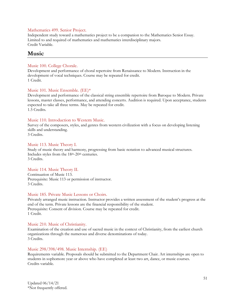#### Mathematics 499. Senior Project.

Independent study toward a mathematics project to be a companion to the Mathematics Senior Essay. Limited to and required of mathematics and mathematics interdisciplinary majors. Credit Variable.

## **Music**

### Music 100. College Chorale.

Development and performance of choral repertoire from Renaissance to Modern. Instruction in the development of vocal techniques. Course may be repeated for credit. 1 Credit.

#### Music 101. Music Ensemble. (EE)\*

Development and performance of the classical string ensemble repertoire from Baroque to Modern. Private lessons, master classes, performance, and attending concerts. Audition is required. Upon acceptance, students expected to take all three terms. May be repeated for credit. 1.5 Credits.

#### Music 110. Introduction to Western Music.

Survey of the composers, styles, and genres from western civilization with a focus on developing listening skills and understanding.

3 Credits.

#### Music 113. Music Theory I.

Study of music theory and harmony, progressing from basic notation to advanced musical structures. Includes styles from the 18<sup>th</sup>-20<sup>th</sup> centuries. 3 Credits.

#### Music 114. Music Theory II.

Continuation of Music 113. Prerequisite: Music 113 or permission of instructor. 3 Credits.

#### Music 185. Private Music Lessons or Choirs.

Privately arranged music instruction. Instructor provides a written assessment of the student's progress at the end of the term. Private lessons are the financial responsibility of the student. Prerequisite: Consent of division. Course may be repeated for credit. 1 Credit.

#### Music 210. Music of Christianity.

Examination of the creation and use of sacred music in the context of Christianity, from the earliest church organizations through the numerous and diverse denominations of today. 3 Credits.

#### Music 298/398/498. Music Internship. (EE)

Requirements variable. Proposals should be submitted to the Department Chair. Art internships are open to students in sophomore year or above who have completed at least two art, dance, or music courses. Credits variable.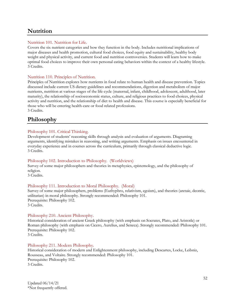# **Nutrition**

## Nutrition 101. Nutrition for Life.

Covers the six nutrient categories and how they function in the body. Includes nutritional implications of major diseases and health promotion, cultural food choices, food equity and sustainability, healthy body weight and physical activity, and current food and nutrition controversies. Students will learn how to make optimal food choices to improve their own personal eating behaviors within the context of a healthy lifestyle. 3 Credits.

## Nutrition 110. Principles of Nutrition.

Principles of Nutrition explores how nutrients in food relate to human health and disease prevention. Topics discussed include current US dietary guidelines and recommendations, digestion and metabolism of major nutrients, nutrition at various stages of the life cycle (maternal, infant, childhood, adolescent, adulthood, later maturity), the relationship of socioeconomic status, culture, and religious practices to food choices, physical activity and nutrition, and the relationship of diet to health and disease. This course is especially beneficial for those who will be entering health-care or food related professions. 3 Credits.

# **Philosophy**

## Philosophy 101. Critical Thinking.

Development of students' reasoning skills through analysis and evaluation of arguments. Diagraming arguments, identifying mistakes in reasoning, and writing arguments. Emphasis on issues encountered in everyday experience and in courses across the curriculum, primarily through classical deductive logic. 3 Credits.

#### Philosophy 102. Introduction to Philosophy. (Worldviews)

Survey of some major philosophers and theories in metaphysics, epistemology, and the philosophy of religion.

3 Credits.

## Philosophy 111. Introduction to Moral Philosophy. (Moral)

Survey of some major philosophers, problems (Euthyphro, relativism, egoism), and theories (aretaic, deontic, utilitarian) in moral philosophy. Strongly recommended: Philosophy 101. Prerequisite: Philosophy 102. 3 Credits.

#### Philosophy 210. Ancient Philosophy.

Historical consideration of ancient Greek philosophy (with emphasis on Socrates, Plato, and Aristotle) or Roman philosophy (with emphasis on Cicero, Aurelius, and Seneca). Strongly recommended: Philosophy 101. Prerequisite: Philosophy 102. 3 Credits.

## Philosophy 211. Modern Philosophy.

Historical consideration of modern and Enlightenment philosophy, including Descartes, Locke, Leibniz, Rousseau, and Voltaire. Strongly recommended: Philosophy 101. Prerequisite: Philosophy 102. 3 Credits.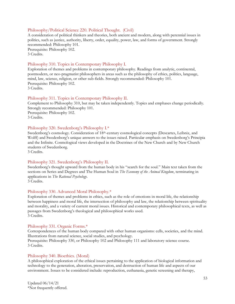#### Philosophy/Political Science 220. Political Thought. (Civil)

A consideration of political thinkers and theories, both ancient and modern, along with perennial issues in politics, such as justice, authority, liberty, order, equality, power, law, and forms of government. Strongly recommended: Philosophy 101. Prerequisite: Philosophy 102. 3 Credits.

#### Philosophy 310. Topics in Contemporary Philosophy I.

Exploration of themes and problems in contemporary philosophy. Readings from analytic, continental, postmodern, or neo-pragmatist philosophers in areas such as the philosophy of ethics, politics, language, mind, law, science, religion, or other sub-fields. Strongly recommended: Philosophy 101. Prerequisite: Philosophy 102. 3 Credits.

#### Philosophy 311. Topics in Contemporary Philosophy II.

Complement to Philosophy 310, but may be taken independently. Topics and emphases change periodically. Strongly recommended: Philosophy 101. Prerequisite: Philosophy 102. 3 Credits.

#### Philosophy 320. Swedenborg's Philosophy I.\*

Swedenborg's cosmology. Consideration of 18<sup>th</sup>-century cosmological concepts (Descartes, Leibniz, and Wolff) and Swedenborg's unique answers to the issues raised. Particular emphasis on Swedenborg's Principia and the Infinite. Cosmological views developed in the Doctrines of the New Church and by New Church students of Swedenborg.

3 Credits.

#### Philosophy 321. Swedenborg's Philosophy II.

Swedenborg's thought upward from the human body in his "search for the soul." Main text taken from the sections on Series and Degrees and The Human Soul in *The Economy of the Animal Kingdom*, terminating in applications in *The Rational Psychology*.

3 Credits.

#### Philosophy 330. Advanced Moral Philosophy.\*

Exploration of themes and problems in ethics, such as the role of emotions in moral life, the relationship between happiness and moral life, the intersection of philosophy and law, the relationship between spirituality and morality, and a variety of current moral issues. Historical and contemporary philosophical texts, as well as passages from Swedenborg's theological and philosophical works used. 3 Credits.

#### Philosophy 331. Organic Forms.\*

Correspondences of the human body compared with other human organisms: cells, societies, and the mind. Illustrations from natural science, social studies, and psychology. Prerequisite: Philosophy 330, or Philosophy 102 and Philosophy 111 and laboratory science course.

3 Credits.

#### Philosophy 340. Bioethics. (Moral)

A philosophical exploration of the ethical issues pertaining to the application of biological information and technology to the generation, alteration, preservation, and destruction of human life and aspects of our environment. Issues to be considered include: reproduction, euthanasia, genetic screening and therapy,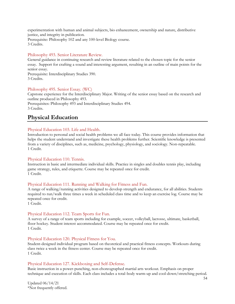experimentation with human and animal subjects, bio enhancement, ownership and nature, distributive justice, and integrity in publication.

Prerequisite: Philosophy 102 and any 100-level Biology course. 3 Credits.

### Philosophy 493. Senior Literature Review.

General guidance in continuing research and review literature related to the chosen topic for the senior essay. Support for crafting a sound and interesting argument, resulting in an outline of main points for the senior essay.

Prerequisite: Interdisciplinary Studies 390. 3 Credits.

#### Philosophy 495. Senior Essay. (WC)

Capstone experience for the Interdisciplinary Major. Writing of the senior essay based on the research and outline produced in Philosophy 493.

Prerequisites: Philosophy 493 and Interdisciplinary Studies 494. 3 Credits.

# **Physical Education**

## Physical Education 103. Life and Health.

Introduction to personal and social health problems we all face today. This course provides information that helps the student understand and investigate these health problems further. Scientific knowledge is presented from a variety of disciplines, such as, medicine, psychology, physiology, and sociology. Non-repeatable. 1 Credit.

#### Physical Education 110. Tennis.

Instruction in basic and intermediate individual skills. Practice in singles and doubles tennis play, including game strategy, rules, and etiquette. Course may be repeated once for credit. 1 Credit.

#### Physical Education 111. Running and Walking for Fitness and Fun.

A range of walking/running activities designed to develop strength and endurance, for all abilities. Students required to run/walk three times a week in scheduled class time and to keep an exercise log. Course may be repeated once for credit.

1 Credit.

## Physical Education 112. Team Sports for Fun.

A survey of a range of team sports including for example, soccer, volleyball, lacrosse, ultimate, basketball, floor hockey. Student interest accommodated. Course may be repeated once for credit. 1 Credit.

## Physical Education 120. Physical Fitness for You.

Student-designed individual program based on theoretical and practical fitness concepts. Workouts during class twice a week in the fitness center. Course may be repeated once for credit. 1 Credit.

## Physical Education 127. Kickboxing and Self-Defense.

Basic instruction in a power-punching, non-choreographed martial arts workout. Emphasis on proper technique and execution of skills. Each class includes a total-body warm-up and cool-down/stretching period.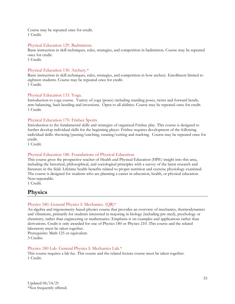Course may be repeated once for credit. 1 Credit.

#### Physical Education 129. Badminton.

Basic instruction in skill techniques, rules, strategies, and competition in badminton. Course may be repeated once for credit.

1 Credit.

## Physical Education 130. Archery.\*

Basic instruction in skill techniques, rules, strategies, and competition in bow archery. Enrollment limited to eighteen students. Course may be repeated once for credit. 1 Credit.

## Physical Education 133. Yoga.

Introduction to yoga course. Variety of yoga (poses) including standing poses, twists and forward bends, arm-balancing, back bending and inversions. Open to all abilities. Course may be repeated once for credit. 1 Credit.

## Physical Education 170. Frisbee Sports.

Introduction to the fundamental skills and strategies of organized Frisbee play. This course is designed to further develop individual skills for the beginning player. Frisbee requires development of the following individual skills: throwing/passing/catching, running/cutting and marking. Course may be repeated once for credit.

1 Credit.

## Physical Education 180. Foundations of Physical Education.

This course gives the prospective teacher of Health and Physical Education (HPE) insight into this area, including the historical, philosophical, and sociological principles with a survey of the latest research and literature in the field. Lifetime health benefits related to proper nutrition and exercise physiology examined. The course is designed for students who are planning a career in education, health, or physical education. Non-repeatable.

1 Credit.

# **Physics**

## Physics 180. General Physics I: Mechanics. (QR)\*

An algebra and trigonometry-based physics course that provides an overview of mechanics, thermodynamics and vibrations, primarily for students interested in majoring in biology (including pre-med), psychology or chemistry, rather than engineering or mathematics. Emphasis is on examples and applications rather than derivations. Credit is only awarded for one of Physics 180 or Physics 210. This course and the related laboratory must be taken together.

Prerequisite: Math 125 or equivalent.

3 Credits.

#### Physics 180 Lab. General Physics I: Mechanics Lab.\*

This course requires a lab fee. This course and the related lecture course must be taken together. 1 Credit.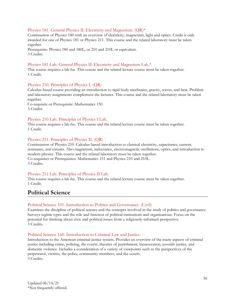## Physics 181. General Physics II: Electricity and Magnetism. (QR)\*

Continuation of Physics 180 with an overview of electricity, magnetism, light and optics. Credit is only awarded for one of Physics 181 or Physics 211. This course and the related laboratory must be taken together.

Prerequisite: Physics 180 and 180L, or 210 and 210L or equivalent. 3 Credits.

## Physics 181 Lab. General Physics II: Electricity and Magnetism Lab.\*

This course requires a lab fee. This course and the related lecture course must be taken together. 1 Credit.

#### Physics 210. Principles of Physics I. (QR)

Calculus-based course providing an introduction to rigid body mechanics, gravity, waves, and heat. Problem and laboratory assignments complement the lectures. This course and the related laboratory must be taken together.

Co-requisite or Prerequisite: Mathematics 150. 3 Credits.

## Physics 210 Lab. Principles of Physics I Lab.

This course requires a lab fee. This course and the related lecture course must be taken together. 1 Credit.

## Physics 211. Principles of Physics II. (QR)

Continuation of Physics 210. Calculus-based introduction to classical electricity, capacitance, current, resistance, and circuits. Also magnetism, inductance, electromagnetic oscillations, optics, and introduction to modern physics. This course and the related laboratory must be taken together. Co-requisites or Prerequisites: Mathematics 151 and Physics 210 and 210L. 3 Credits.

## Physics 211 Lab. Principles of Physics II Lab.

This course requires a lab fee. This course and the related lecture course must be taken together. 1 Credit.

# **Political Science**

#### Political Science 101. Introduction to Politics and Governance. (Civil)

Examines the discipline of political science and the concepts involved in the study of politics and governance. Surveys regime types and the role and function of political institutions and organizations. Focus on the potential for thinking about civic and political issues from a religiously-informed perspective. 3 Credits.

#### Political Science 160. Introduction to Criminal Law and Justice.

Introduction to the American criminal justice system. Provides an overview of the many aspects of criminal justice including crime, policing, the courts, theories of punishment, incarceration, juvenile justice, and domestic violence. Includes a consideration of a variety of viewpoints such as the perspectives of the perpetrator, victims, the police, community members, and the courts. 3 Credits.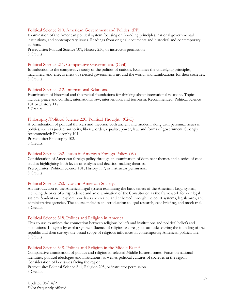#### Political Science 210. American Government and Politics. (PP)

Examination of the American political system focusing on founding principles, national governmental institutions, and contemporary issues. Readings from original documents and historical and contemporary authors.

Prerequisite: Political Science 101, History 230, or instructor permission. 3 Credits.

#### Political Science 211. Comparative Government. (Civil)

Introduction to the comparative study of the politics of nations. Examines the underlying principles, machinery, and effectiveness of selected governments around the world, and ramifications for their societies. 3 Credits.

#### Political Science 212. International Relations.

Examination of historical and theoretical foundations for thinking about international relations. Topics include: peace and conflict, international law, intervention, and terrorism. Recommended: Political Science 101 or History 117.

3 Credits.

#### Philosophy/Political Science 220. Political Thought. (Civil)

A consideration of political thinkers and theories, both ancient and modern, along with perennial issues in politics, such as justice, authority, liberty, order, equality, power, law, and forms of government. Strongly recommended: Philosophy 101. Prerequisite: Philosophy 102.

3 Credits.

#### Political Science 232. Issues in American Foreign Policy. (W)

Consideration of American foreign policy through an examination of dominant themes and a series of case studies highlighting both levels of analysis and decision-making theories. Prerequisites: Political Science 101, History 117, or instructor permission. 3 Credits.

#### Political Science 260. Law and American Society.

An introduction to the American legal system examining the basic tenets of the American Legal system, including theories of jurisprudence and an examination of the Constitution as the framework for our legal system. Students will explore how laws are created and enforced through the court systems, legislatures, and administrative agencies. The course includes an introduction to legal research, case briefing, and mock trial. 3 Credits.

#### Political Science 318. Politics and Religion in America.

This course examines the connection between religious beliefs and institutions and political beliefs and institutions. It begins by exploring the influence of religion and religious attitudes during the founding of the republic and then surveys the broad scope of religious influences in contemporary American political life. 3 Credits.

#### Political Science 348. Politics and Religion in the Middle East.\*

Comparative examination of politics and religion in selected Middle Eastern states. Focus on national identities, political ideologies and institutions, as well as political cultures of societies in the region. Consideration of key issues facing the region.

Prerequisite: Political Science 211, Religion 295, or instructor permission. 3 Credits.

Updated 06/14/21 \*Not frequently offered.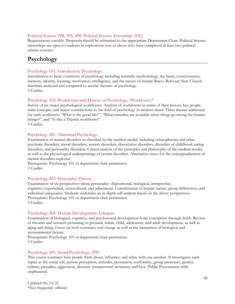## Political Science 298, 398, 498. Political Science Internship. (EE)

Requirements variable. Proposals should be submitted to the appropriate Department Chair. Political Science internships are open to students in sophomore year or above who have completed at least two political science courses.

## **Psychology**

## Psychology 101. Introductory Psychology.

Introduction to basic constructs of psychology including scientific methodology, the brain, consciousness, memory, identity, learning, motivation, intelligence, and the nature of mental illness. Relevant New Church doctrines analyzed and compared to secular theories of psychology. 3 Credits.

## Psychology 102. Worldviews and History of Psychology. (Worldview)\*

Survey of six major psychological worldviews. Analysis of worldviews in terms of their history, key people, main concepts, and major contributions to the field of psychology in modern times. Three themes addressed for each worldview: "What is the good life?", "What remedies are available when things go wrong for human beings?", and "Is this a Theistic worldview?"

3 Credits.

#### Psychology 201. Abnormal Psychology.

Examination of mental disorders as classified by the medical model, including schizophrenia and other psychotic disorders, mood disorders, anxiety disorders, dissociative disorders, disorders of childhood, eating disorders, and personality disorders. Critical analysis of the principles and philosophy of the medical model, as well as the physiological underpinnings of certain disorders. Alternative views for the conceptualization of mental disorders explored.

Prerequisite: Psychology 101 or department chair permission. 3 Credits.

## Psychology 203. Personality Theory.

Examination of six perspectives about personality: dispositional, biological, intrapsychic, cognitive/experiential, sociocultural, and adjustment. Consideration of human nature, group differences, and individual uniqueness. Students undertake an in-depth self-analysis based on the above perspectives. Prerequisite: Psychology 101 or department chair permission. 3 Credits.

#### Psychology 204. Human Development: Lifespan.

Examination of biological, cognitive, and psychosocial development from conception through death. Review of theories and research pertaining to prenatal, infant, child, adolescent, and adult development, as well as aging and dying. Focus on both constancy and change as well as the interaction of biological and environmental factors.

Prerequisite: Psychology 101 or department chair permission. 3 Credits.

#### Psychology 205. Social Psychology. (PP)

This course examines how people think about, influence, and relate with one another. It investigates such topics as the social self, person perception, attitudes, persuasion, conformity, group processes, gender, culture, prejudice, aggression, altruism, interpersonal attraction, and love. Public Presentation skills emphasized.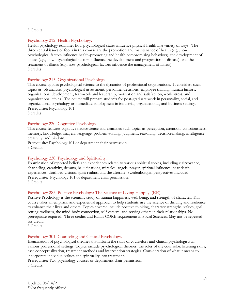3 Credits.

## Psychology 212. Health Psychology.

Health psychology examines how psychological states influence physical health in a variety of ways. The three central issues of focus in this course are the promotion and maintenance of health (e.g., how psychological factors influence health-promoting and health compromising behaviors), the development of illness (e.g., how psychological factors influence the development and progression of disease), and the treatment of illness (e.g., how psychological factors influence the management of illness). 3 credits.

## Psychology 215. Organizational Psychology.

This course applies psychological science to the dynamics of professional organizations. It considers such topics as job analysis, psychological assessment, personnel decisions, employee training, human factors, organizational development, teamwork and leadership, motivation and satisfaction, work stress, and organizational ethics. The course will prepare students for post-graduate work in personality, social, and organizational psychology or immediate employment in industrial, organizational, and business settings. Prerequisite: Psychology 101

3 credits.

## Psychology 220. Cognitive Psychology.

This course features cognitive neuroscience and examines such topics as perception, attention, consciousness, memory, knowledge, imagery, language, problem-solving, judgment, reasoning, decision-making, intelligence, creativity, and wisdom.

Prerequisite: Psychology 101 or department chair permission. 3 Credits.

#### Psychology 230. Psychology and Spirituality.

Examination of reported beliefs and experiences related to various spiritual topics, including clairvoyance, channeling, creativity, dreams, hallucinations, miracles, angels, prayer, spiritual influence, near death experiences, deathbed visions, spirit realms, and the afterlife. Swedenborgian perspectives included. Prerequisite: Psychology 101 or department chair permission. 3 Credits.

#### Psychology 285. Positive Psychology: The Science of Living Happily. (EE)

Positive Psychology is the scientific study of human happiness, well-being, and strength of character. This course takes an empirical and experiential approach to help students use the science of thriving and resilience to enhance their lives and others. Topics covered include positive thinking, character strengths, values, goal setting, wellness, the mind-body connection, self-esteem, and serving others in their relationships. No prerequisite required. Three credits and fulfills CORE requirement in Social Sciences. May not be repeated for credit.

3 Credits.

#### Psychology 301. Counseling and Clinical Psychology.

Examination of psychological theories that inform the skills of counselors and clinical psychologists in various professional settings. Topics include psychological theories, the roles of the counselor, listening skills, case conceptualization, treatment methods and intervention strategies. Consideration of what it means to incorporate individual values and spirituality into treatment.

Prerequisite: Two psychology courses or department chair permission. 3 Credits.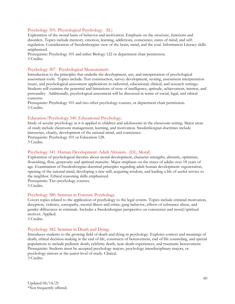## Psychology 305. Physiological Psychology. (IL)

Exploration of the neural basis of behavior and motivation. Emphasis on the structure, functions and disorders. Topics include memory, emotion, learning, addictions, conscience, states of mind, and selfregulation. Consideration of Swedenborgian view of the brain, mind, and the soul. Information Literacy skills emphasized.

Prerequisite: Psychology 101 and either Biology 122 or department chair permission. 3 Credits.

### Psychology 307. Psychological Measurement.

Introduction to the principles that underlie the development, use, and interpretation of psychological assessment tools. Topics include: Test construction, survey development, scoring, assessment interpretation issues, and psychological assessment applications in industrial, educational, clinical, and research settings. Students will examine the potential and limitations of tests of intelligence, aptitude, achievement, interest, and personality. Additionally, psychological assessment will be discussed in terms of social, legal, and ethical concerns.

Prerequisite: Psychology 101 and two other psychology courses, or department chair permission. 3 Credits.

#### Education/Psychology 340. Educational Psychology.

Study of secular psychology as it is applied to children and adolescents in the classroom setting. Major areas of study include classroom management, learning, and motivation. Swedenborgian doctrines include innocence, charity, development of the rational mind, and conscience. Prerequisite: Psychology 101 or Education 128. 3 Credits.

#### Psychology 341. Human Development: Adult Altruism. (EE, Moral)

Exploration of psychological theories about moral development, character strengths, altruism, optimism, flourishing, flow, generosity and spiritual maturity. Major emphasis on the states of adults over 18 years of age. Examination of Swedenborgian doctrinal principles regarding adult human development: regeneration, opening of the rational mind, developing a new will, acquiring wisdom, and leading a life of useful service to the neighbor. Ethical reasoning skills emphasized.

Prerequisite: Two psychology courses.

3 Credits.

#### Psychology 380. Seminar in Forensic Psychology.

Covers topics related to the application of psychology to the legal system. Topics include criminal motivation, deception, violence, sociopathy, mental illness and crime, gang behavior, effects of substance abuse, and gender differences in criminals. Includes a Swedenborgian perspective on conscience and moral/spiritual motives. Applied.

3 Credits.

#### Psychology 382. Seminar in Death and Dying.

Introduces students to the growing field of death and dying in psychology. Explores context and meanings of death, ethical decision-making at the end of life, constructs of bereavement, end of life counseling, and special populations to include pediatric death, celebrity death, near-death experiences, and traumatic bereavement. Prerequisite: Students must be accepted psychology majors, psychology interdisciplinary majors, or psychology minors at the junior level of study. Clinical. 3 Credits.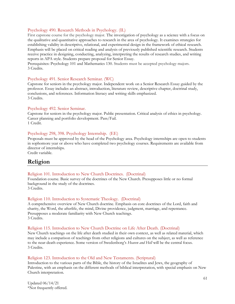## Psychology 490. Research Methods in Psychology. (IL)

First capstone course for the psychology major. The investigation of psychology as a science with a focus on the qualitative and quantitative approaches to research in the area of psychology. It examines strategies for establishing validity in descriptive, relational, and experimental design in the framework of ethical research. Emphasis will be placed on critical reading and analysis of previously published scientific research. Students receive practice in designing, conducting, analyzing, interpreting the results of research studies, and writing reports in APA style. Students prepare proposal for Senior Essay.

Prerequisites: Psychology 101 and Mathematics 130. Students must be accepted psychology majors. 3 Credits.

#### Psychology 491. Senior Research Seminar. (WC)

Capstone for seniors in the psychology major. Independent work on a Senior Research Essay guided by the professor. Essay includes an abstract, introduction, literature review, descriptive chapter, doctrinal study, conclusions, and references. Information literacy and writing skills emphasized. 3 Credits.

#### Psychology 492. Senior Seminar.

Capstone for seniors in the psychology major. Public presentation. Critical analysis of ethics in psychology. Career planning and portfolio development. Pass/Fail. 1 Credit.

#### Psychology 298, 398. Psychology Internship. (EE)

Proposals must be approved by the head of the Psychology area. Psychology internships are open to students in sophomore year or above who have completed two psychology courses. Requirements are available from director of internships.

Credit variable.

## **Religion**

#### Religion 101. Introduction to New Church Doctrines. (Doctrinal)

Foundation course. Basic survey of the doctrines of the New Church. Presupposes little or no formal background in the study of the doctrines.

3 Credits.

#### Religion 110. Introduction to Systematic Theology. (Doctrinal)

A comprehensive overview of New Church doctrine. Emphasis on core doctrines of the Lord, faith and charity, the Word, the afterlife, the mind, Divine providence, judgment, marriage, and repentance. Presupposes a moderate familiarity with New Church teachings. 3 Credits.

#### Religion 115. Introduction to New Church Doctrine on Life After Death. (Doctrinal)

New Church teachings on the life after death studied in their own context, as well as related material, which may include a comparison of teachings from other religions and cultures on the subject, as well as reference to the near-death experience. Some version of Swedenborg's *Heaven and Hell* will be the central focus. 3 Credits.

#### Religion 123. Introduction to the Old and New Testaments. (Scriptural)

Introduction to the various parts of the Bible, the history of the Israelites and Jews, the geography of Palestine, with an emphasis on the different methods of biblical interpretation, with special emphasis on New Church interpretation.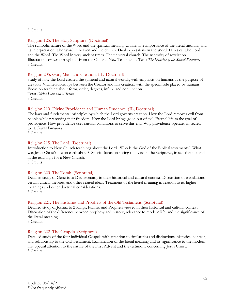3 Credits.

#### Religion 125. The Holy Scripture. (Doctrinal)

The symbolic nature of the Word and the spiritual meaning within. The importance of the literal meaning and its interpretation. The Word in heaven and the church. Dual expressions in the Word. Heresies. The Lord and the Word. The Word in very ancient times. The universal church. The necessity of revelation. Illustrations drawn throughout from the Old and New Testaments. Text: *The Doctrine of the Sacred Scripture*. 3 Credits.

#### Religion 205. God, Man, and Creation. (IL, Doctrinal)

Study of how the Lord created the spiritual and natural worlds, with emphasis on humans as the purpose of creation. Vital relationships between the Creator and His creation, with the special role played by humans. Focus on teaching about form, order, degrees, influx, and conjunction. Text: *Divine Love and Wisdom*. 3 Credits.

#### Religion 210. Divine Providence and Human Prudence. (IL, Doctrinal)

The laws and fundamental principles by which the Lord governs creation. How the Lord removes evil from people while preserving their freedom. How the Lord brings good out of evil. Eternal life as the goal of providence. How providence uses natural conditions to serve this end. Why providence operates in secret. Text: *Divine Providence*.

3 Credits.

#### Religion 215. The Lord. (Doctrinal)

Introduction to New Church teachings about the Lord. Who is the God of the Biblical testaments? What was Jesus Christ's life on earth about? Special focus on seeing the Lord in the Scriptures, in scholarship, and in the teachings for a New Church.

3 Credits.

#### Religion 220. The Torah. (Scriptural)

Detailed study of Genesis to Deuteronomy in their historical and cultural context. Discussion of translations, certain critical theories, and other related ideas. Treatment of the literal meaning in relation to its higher meanings and other doctrinal considerations. 3 Credits.

#### Religion 221. The Histories and Prophets of the Old Testament. (Scriptural)

Detailed study of Joshua to 2 Kings, Psalms, and Prophets viewed in their historical and cultural context. Discussion of the difference between prophesy and history, relevance to modern life, and the significance of the literal meaning.

3 Credits.

#### Religion 222. The Gospels. (Scriptural)

Detailed study of the four individual Gospels with attention to similarities and distinctions, historical context, and relationship to the Old Testament. Examination of the literal meaning and its significance to the modern life. Special attention to the nature of the First Advent and the testimony concerning Jesus Christ. 3 Credits.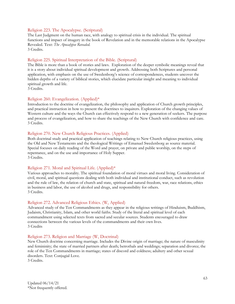#### Religion 223. The Apocalypse. (Scriptural)

The Last Judgment on the human race, with analogy to spiritual crisis in the individual. The spiritual functions and impact of imagery in the book of Revelation and in the memorable relations in the Apocalypse Revealed. Text: *The Apocalypse Revealed*.

3 Credits.

#### Religion 225. Spiritual Interpretation of the Bible. (Scriptural)

The Bible is more than a book of stories and laws. Exploration of the deeper symbolic meanings reveal that it is a story about individual spiritual development and growth. Addressing both Scriptures and personal application, with emphasis on the use of Swedenborg's science of correspondences, students uncover the hidden depths of a variety of biblical stories, which elucidate particular insight and meaning to individual spiritual growth and life.

3 Credits.

#### Religion 260. Evangelization. (Applied)\*

Introduction to the doctrine of evangelization, the philosophy and application of Church growth principles, and practical instruction in how to present the doctrines to inquirers. Exploration of the changing values of Western culture and the ways the Church can effectively respond to a new generation of seekers. The purpose and process of evangelization, and how to share the teachings of the New Church with confidence and care. 3 Credits.

#### Religion 270. New Church Religious Practices. (Applied)

Both doctrinal study and practical application of teachings relating to New Church religious practices, using the Old and New Testaments and the theological Writings of Emanuel Swedenborg as source material. Special focuses on daily reading of the Word and prayer, on private and public worship, on the steps of repentance, and on the use and importance of Holy Supper. 3 Credits.

#### Religion 271. Moral and Spiritual Life. (Applied)\*

Various approaches to morality. The spiritual foundation of moral virtues and moral living. Consideration of civil, moral, and spiritual questions dealing with both individual and institutional conduct, such as revolution and the rule of law, the relation of church and state, spiritual and natural freedom, war, race relations, ethics in business and labor, the use of alcohol and drugs, and responsibility for others. 3 Credits.

#### Religion 272. Advanced Religious Ethics. (W, Applied)

Advanced study of the Ten Commandments as they appear in the religious writings of Hinduism, Buddhism, Judaism, Christianity, Islam, and other world faiths. Study of the literal and spiritual level of each commandment using selected texts from sacred and secular sources. Students encouraged to draw connections between the various levels of the commandments and their own lives. 3 Credits

#### Religion 273. Religion and Marriage (W, Doctrinal)

New Church doctrine concerning marriage. Includes the Divine origin of marriage; the nature of masculinity and femininity; the state of married partners after death; betrothals and weddings; separation and divorce; the role of the Ten Commandments in marriage; states of discord and coldness; adultery and other sexual disorders. Text: Conjugial Love. 3 Credits.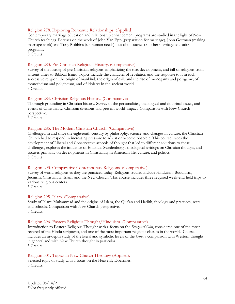## Religion 278. Exploring Romantic Relationships. (Applied)

Contemporary marriage education and relationship enhancement programs are studied in the light of New Church teachings. Focuses on the work of John Van Epp (preparation for marriage), John Gottman (making marriage work) and Tony Robbins (six human needs), but also touches on other marriage education programs.

3 Credits.

## Religion 283. Pre-Christian Religious History. (Comparative)

Survey of the history of pre-Christian religions emphasizing the rise, development, and fall of religions from ancient times to Biblical Israel. Topics include the character of revelation and the response to it in each successive religion, the origin of mankind, the origin of evil, and the rise of monogamy and polygamy, of monotheism and polytheism, and of idolatry in the ancient world. 3 Credits.

#### Religion 284. Christian Religious History. (Comparative)

Thorough grounding in Christian history. Survey of the personalities, theological and doctrinal issues, and events of Christianity. Christian divisions and present world-impact. Comparison with New Church perspective.

3 Credits.

#### Religion 285. The Modern Christian Church. (Comparative)

Challenged in and since the eighteenth century by philosophy, science, and changes in culture, the Christian Church had to respond to increasing pressure to adjust or become obsolete. This course traces the development of Liberal and Conservative schools of thought that led to different solutions to these challenges, explores the influence of Emanuel Swedenborg's theological writings on Christian thought, and focuses primarily on developments in Christianity in American life, culture, and politics. 3 Credits.

#### Religion 293. Comparative Contemporary Religions. (Comparative)

Survey of world religions as they are practiced today. Religions studied include Hinduism, Buddhism, Judaism, Christianity, Islam, and the New Church. This course includes three required week-end field trips to various religious centers.

3 Credits.

#### Religion 295. Islam. (Comparative)

Study of Islam: Muhammad and the origins of Islam, the Qur'an and Hadith, theology and practices, sects and schools. Comparison with New Church perspective. 3 Credits.

#### Religion 296. Eastern Religious Thought/Hinduism. (Comparative)

Introduction to Eastern Religious Thought with a focus on the *Bhagavad Gita*, considered one of the most revered of the Hindu scriptures, and one of the most important religious classics in the world. Course includes an in-depth study of the literal and symbolic levels of the *Gita*, a comparison with Western thought in general and with New Church thought in particular. 3 Credits.

#### Religion 301. Topics in New Church Theology (Applied).

Selected topic of study with a focus on the Heavenly Doctrines. 3 Credits.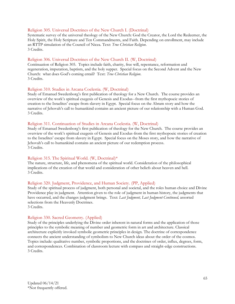#### Religion 305. Universal Doctrines of the New Church I. (Doctrinal)

Systematic survey of the universal theology of the New Church: God the Creator, the Lord the Redeemer, the Holy Spirit, the Holy Scripture and Ten Commandments, and Faith. Depending on enrollment, may include an RTTP simulation of the Council of Nicea. Text: *True Christian Religion*. 3 Credits.

#### Religion 306. Universal Doctrines of the New Church II. (W, Doctrinal)

Continuation of Religion 305. Topics include faith, charity, free will, repentance, reformation and regeneration, imputation, baptism, and the holy supper. Special focus on the Second Advent and the New Church: what does God's coming entail? Text: *True Christian Religion*. 3 Credits.

#### Religion 310. Studies in Arcana Coelestia. (W, Doctrinal)

Study of Emanuel Swedenborg's first publication of theology for a New Church. The course provides an overview of the work's spiritual exegesis of Genesis and Exodus--from the first mythopoeic stories of creation to the Israelites' escape from slavery in Egypt. Special focus on the Abram story and how the narrative of Jehovah's call to humankind contains an ancient picture of our relationship with a Human God. 3 Credits.

#### Religion 311. Continuation of Studies in Arcana Coelestia. (W, Doctrinal)

Study of Emanuel Swedenborg's first publication of theology for the New Church. The course provides an overview of the work's spiritual exegesis of Genesis and Exodus-from the first mythopoeic stories of creation to the Israelites' escape from slavery in Egypt. Special focus on the Moses story, and how the narrative of Jehovah's call to humankind contains an ancient picture of our redemption process. 3 Credits.

#### Religion 315. The Spiritual World. (W, Doctrinal)\*

The nature, structure, life, and phenomena of the spiritual world. Consideration of the philosophical implications of the creation of that world and consideration of other beliefs about heaven and hell. 3 Credits.

#### Religion 320. Judgment, Providence, and Human Society. (PP, Applied)

Study of the spiritual process of judgment, both personal and societal, and the roles human choice and Divine Providence play in judgment. Attention given to the role of judgment in human history, the judgments that have occurred, and the changes judgment brings. Text: *Last Judgment, Last Judgment Continued,* assorted selections from the Heavenly Doctrines. 3 Credits.

#### Religion 330. Sacred Geometry. (Applied)

Study of the principles underlying the Divine order inherent in natural forms and the application of those principles to the symbolic meaning of number and geometric form in art and architecture. Classical architecture explicitly invoked symbolic geometric principles in design. The doctrine of correspondence connects the ancient understanding of symbolism to New Church ideas about the order of the cosmos. Topics include: qualitative number, symbolic proportions, and the doctrines of order, influx, degrees, form, and correspondences. Combination of classroom lecture with compass and straight-edge constructions. 3 Credits.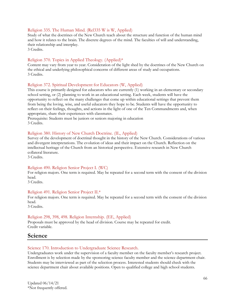#### Religion 335. The Human Mind. (Rel335 W is W, Applied)

Study of what the doctrines of the New Church teach about the structure and function of the human mind and how it relates to the brain. The discrete degrees of the mind. The faculties of will and understanding, their relationship and interplay.

3 Credits.

#### Religion 370. Topics in Applied Theology. (Applied)\*

Content may vary from year to year. Consideration of the light shed by the doctrines of the New Church on the ethical and underlying philosophical concerns of different areas of study and occupations. 3 Credits.

#### Religion 372. Spiritual Development for Educators (W, Applied)

This course is primarily designed for educators who are currently (1) working in an elementary or secondary school setting, or (2) planning to work in an educational setting. Each week, students will have the opportunity to reflect on the many challenges that come up within educational settings that prevent them from being the loving, wise, and useful educators they hope to be. Students will have the opportunity to reflect on their feelings, thoughts, and actions in the light of one of the Ten Commandments and, when appropriate, share their experiences with classmates.

Prerequisite: Students must be juniors or seniors majoring in education 3 Credits.

#### Religion 380. History of New Church Doctrine. (IL, Applied)

Survey of the development of doctrinal thought in the history of the New Church. Considerations of various and divergent interpretations. The evolution of ideas and their impact on the Church. Reflection on the intellectual heritage of the Church from an historical perspective. Extensive research in New Church collateral literature.

3 Credits.

#### Religion 490. Religion Senior Project I. (WC)

For religion majors. One term is required. May be repeated for a second term with the consent of the division head.

3 Credits.

#### Religion 491. Religion Senior Project II.\*

For religion majors. One term is required. May be repeated for a second term with the consent of the division head.

3 Credits.

#### Religion 298, 398, 498. Religion Internship. (EE, Applied)

Proposals must be approved by the head of division. Course may be repeated for credit. Credit variable.

## **Science**

#### Science 170. Introduction to Undergraduate Science Research.

Undergraduates work under the supervision of a faculty member on the faculty member's research project. Enrollment is by selection made by the sponsoring science faculty member and the science department chair. Students may be interviewed as part of the selection process. Interested students should check with the science department chair about available positions. Open to qualified college and high school students.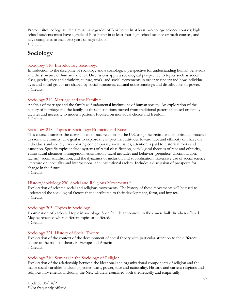Prerequisites: college students must have grades of B or better in at least two college science courses; high school students must have a grade of B or better in at least four high school science or math courses, and have completed at least two years of high school. 1 Credit.

**Sociology**

## Sociology 110. Introductory Sociology.

Introduction to the discipline of sociology and a sociological perspective for understanding human behaviors and the structure of human societies. Discussions apply a sociological perspective to topics such as social class, gender, race and ethnicity, culture, work, and social movements in order to understand how individual lives and social groups are shaped by social structures, cultural understandings and distributions of power. 3 Credits.

## Sociology 212. Marriage and the Family.\*

Analysis of marriage and the family as fundamental institutions of human society. An exploration of the history of marriage and the family, as these institutions moved from traditional patterns focused on family dictates and necessity to modern patterns focused on individual choice and freedom. 3 Credits.

## Sociology 218. Topics in Sociology: Ethnicity and Race.

This course examines the current state of race relations in the U.S. using theoretical and empirical approaches to race and ethnicity. The goal is to explore the impact that attitudes toward race and ethnicity can have on individuals and society. In exploring contemporary social issues, attention is paid to historical roots and causation. Specific topics include systems of racial classification, sociological theories of race and ethnicity, ethno-racial identities, immigration, assimilation, racial attitudes and behavior (prejudice, discrimination, racism), social stratification, and the dynamics of inclusion and subordination. Extensive use of social science literature on inequality and interpersonal and institutional racism. Includes a discussion of prospects for change in the future.

3 Credits.

## History/Sociology 290. Social and Religious Movements.\*

Exploration of selected social and religious movements. The history of these movements will be used to understand the sociological factors that contributed to their development, form, and impact. 3 Credits.

## Sociology 305. Topics in Sociology.

Examination of a selected topic in sociology. Specific title announced in the course bulletin when offered. May be repeated when different topics are offered. 3 Credits.

## Sociology 321. History of Social Theory.

Exploration of the context of the development of social theory with particular attention to the different nature of the roots of theory in Europe and America. 3 Credits.

## Sociology 340. Seminar in the Sociology of Religion.

Exploration of the relationship between the ideational and organizational components of religion and the major social variables, including gender, class, power, race and nationality. Historic and current religions and religious movements, including the New Church, examined both theoretically and empirically.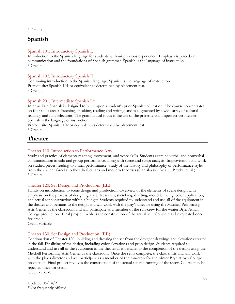3 Credits.

# **Spanish**

## Spanish 101. Introductory Spanish I.

Introduction to the Spanish language for students without previous experience. Emphasis is placed on communication and the foundations of Spanish grammar. Spanish is the language of instruction. 3 Credits.

## Spanish 102. Introductory Spanish II.

Continuing introduction to the Spanish language. Spanish is the language of instruction. Prerequisite: Spanish 101 or equivalent as determined by placement test. 3 Credits.

## Spanish 201. Intermediate Spanish I.\*

Intermediate Spanish is designed to build upon a student's prior Spanish education. The course concentrates on four skills areas: listening, speaking, reading and writing, and is augmented by a wide array of cultural readings and film selections. The grammatical focus is the use of the preterite and imperfect verb tenses. Spanish is the language of instruction.

Prerequisite: Spanish 102 or equivalent as determined by placement test.

3 Credits.

# **Theater**

## Theater 110. Introduction to Performance Arts.

Study and practice of elementary acting, movement, and voice skills. Students examine verbal and nonverbal communication in solo and group performance, along with scene and script analysis. Improvisation and work on studied pieces, leading to a final performance. Study of the history and philosophy of performance styles from the ancient Greeks to the Elizabethans and modern theorists (Stanislavski, Artaud, Brecht, et. al.). 3 Credits.

## Theater 120. Set Design and Production. (EE)

Hands-on introduction to scene design and production. Overview of the elements of scene design with emphasis on the process of designing a set. Research, sketching, drafting, model building, color application, and actual set construction within a budget. Students required to understand and use all of the equipment in the theater as it pertains to the design and will work with the play's director using the Mitchell Performing Arts Center as the classroom and will participate as a member of the run-crew for the winter Bryn Athyn College production. Final project involves the construction of the actual set. Course may be repeated once for credit.

Credit variable.

## Theater 130. Set Design and Production. (EE)

Continuation of Theater 120: building and dressing the set from the designer drawings and elevations created in the fall. Finalizing of the design, including color elevations and prop design. Students required to understand and use all of the equipment in the theater as it pertains to the completion of the design using the Mitchell Performing Arts Center as the classroom. Once the set is complete, the class shifts and will work with the play's director and will participate as a member of the run-crew for the winter Bryn Athyn College production. Final project involves the construction of the actual set and running of the show. Course may be repeated once for credit. Credit variable.

Updated 06/14/21 \*Not frequently offered.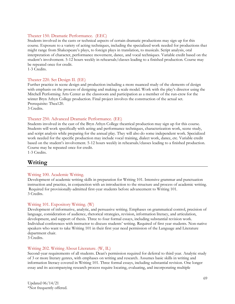## Theater 150. Dramatic Performance. (EEC)

Students involved in the casts or technical aspects of certain dramatic productions may sign up for this course. Exposure to a variety of acting techniques, including the specialized work needed for productions that might range from Shakespeare's plays, to foreign plays in translation, to musicals. Script analysis, oral interpretation of character, performance movement, dance, and vocal techniques. Variable credit based on the student's involvement. 5-12 hours weekly in rehearsals/classes leading to a finished production. Course may be repeated once for credit.

1-3 Credits.

#### Theater 220. Set Design II. (EE)

Further practice in scene design and production including a more nuanced study of the elements of design with emphasis on the process of designing and making a scale model. Work with the play's director using the Mitchell Performing Arts Center as the classroom and participation as a member of the run-crew for the winter Bryn Athyn College production. Final project involves the construction of the actual set. Prerequisite: Thea120. 3 Credits.

#### Theater 250. Advanced Dramatic Performance. (EE)

Students involved in the cast of the Bryn Athyn College theatrical production may sign up for this course. Students will work specifically with acting and performance techniques, characterization work, scene study, and script analysis while preparing for the annual play. They will also do some independent work. Specialized work needed for the specific production may include vocal training, dialect work, dance, etc. Variable credit based on the student's involvement. 5-12 hours weekly in rehearsals/classes leading to a finished production. Course may be repeated once for credit.

1-3 Credits.

## **Writing**

#### Writing 100. Academic Writing.

Development of academic writing skills in preparation for Writing 101. Intensive grammar and punctuation instruction and practice, in conjunction with an introduction to the structure and process of academic writing. Required for provisionally-admitted first-year students before advancement to Writing 101. 3 Credits.

#### Writing 101. Expository Writing. (W)

Development of informative, analytic, and persuasive writing. Emphases on grammatical control, precision of language, consideration of audience, rhetorical strategies, revision, information literacy, and articulation, development, and support of thesis. Three to four formal essays, including substantial revision work. Individual conferences with instructor to discuss students' writing. Required of first year students. Non-native speakers who want to take Writing 101 in their first year need permission of the Language and Literature department chair.

3 Credits.

#### Writing 202. Writing About Literature. (W, IL)

Second-year requirements of all students. Dean's permission required for deferral to third year. Analytic study of 3 or more literary genres, with emphases on writing and research. Assumes basic skills in writing and information literacy covered in Writing 101. Three formal essays, including substantial revision. One longer essay and its accompanying research process require locating, evaluating, and incorporating multiple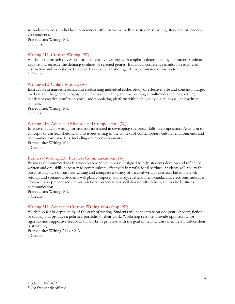secondary sources. Individual conferences with instructor to discuss students' writing. Required of secondyear students. Prerequisite: Writing 101. 3 Credits.

## Writing 211. Creative Writing. (W)

Workshop approach to various forms of creative writing, with emphasis determined by instructor. Students explore and recreate the defining qualities of selected genres. Individual conference in addition to in-class instruction and workshops. Grade of B- or better in Writing 101 or permission of instructor. 3 Credits.

## Writing 212. Online Writing. (W)

Instruction in market research and establishing individual niche. Study of effective style and content in target markets and the general blogosphere. Focus on creating and maintaining a multimedia site, establishing consistent creative nonfiction voice, and populating platform with high quality digital, visual, and written content.

Prerequisite: Writing 101. 3 credits.

## Writing 213. Advanced Rhetoric and Composition. (W)

Intensive study of writing for students interested in developing rhetorical skills in composition. Attention to concepts of classical rhetoric and to issues arising in the context of contemporary cultural environments and communications practices, including online environments.

Prerequisite: Writing 101. 3 Credits.

## Business/Writing 220. Business Communications. (W)

Business Communications is a workplace-oriented course designed to help students develop and refine the written and oral skills necessary to communicate effectively in professional settings. Students will review the purpose and style of business writing and complete a variety of focused writing exercises based on work settings and scenarios. Students will plan, compose, and analyze letters, memoranda, and electronic messages. They will also prepare and deliver brief oral presentations, collaborate with others, and revise business communication.

Prerequisite: Writing 101.

3 Credits.

## Writing 311. Advanced Creative Writing Workshop. (W)

Workshop for in-depth study of the craft of writing. Students will concentrate on one genre (poetry, fiction, or drama) and produce a polished portfolio of their work. Workshop sessions provide opportunity for rigorous and supportive feedback on works in progress with the goal of helping class members produce their best writing.

Prerequisite: Writing 211 or 213. 3 Credits.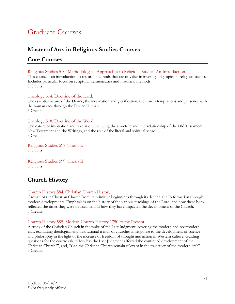# Graduate Courses

# **Master of Arts in Religious Studies Courses**

# **Core Courses**

Religious Studies 510. Methodological Approaches to Religious Studies-An Introduction.

This course is an introduction to research methods that are of value in investigating topics in religious studies. Includes particular focus on scriptural hermeneutics and historical methods. 3 Credits.

## Theology 514. Doctrine of the Lord.

The essential nature of the Divine, the incarnation and glorification, the Lord's temptations and presence with the human race through the Divine Human. 3 Credits.

## Theology 518. Doctrine of the Word.

The nature of inspiration and revelation, including the structure and interrelationship of the Old Testament, New Testament and the Writings, and the role of the literal and spiritual sense. 3 Credits.

Religious Studies 598. Thesis I. 3 Credits.

Religious Studies 599. Thesis II. 3 Credits.

# **Church History**

## Church History 584. Christian Church History.

Growth of the Christian Church from its primitive beginnings through its decline, the Reformation through modern developments. Emphasis is on the history of the various teachings of the Lord, and how these both reflected the times they were devised in, and how they have impacted the development of the Church. 3 Credits.

## Church History 585. Modern Church History 1750 to the Present.

A study of the Christian Church in the wake of the Last Judgment, covering the modern and postmodern eras, examining theological and institutional trends of churches in response to the development of science and philosophy in the light of the increase of freedom of thought and action in Western culture. Guiding questions for the course ask, "How has the Last Judgment affected the continued development of the Christian Church?", and, "Can the Christian Church remain relevant in the trajectory of the modern era?" 3 Credits.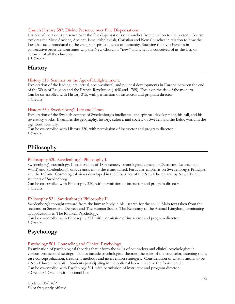## Church History 587. Divine Presence over Five Dispensations.

History of the Lord's presence over the five dispensations or churches from creation to the present. Course explores the Most Ancient, Ancient, Israelitish/Jewish, Christian and New Churches in relation to how the Lord has accommodated to the changing spiritual needs of humanity. Studying the five churches in consecutive order demonstrates why the New Church is "new" and why it is conceived of as the last, or "crown" of all the churches.

1.5 Credits.

# **History**

## History 515. Seminar on the Age of Enlightenment.

Exploration of the leading intellectual, socio-cultural, and political developments in Europe between the end of the Wars of Religion and the French Revolution (1648 and 1789). Focus on the rise of the modern. Can be co-enrolled with History 315, with permission of instructor and program director. 3 Credits.

## History 550. Swedenborg's Life and Times.

Exploration of the Swedish context of Swedenborg's intellectual and spiritual development, his call, and his revelatory works. Examines the geography, history, culture, and society of Sweden and the Baltic world in the eighteenth century.

Can be co-enrolled with History 320, with permission of instructor and program director. 3 Credits.

# **Philosophy**

#### Philosophy 520. Swedenborg's Philosophy I.

Swedenborg's cosmology. Consideration of 18th-century cosmological concepts (Descartes, Leibniz, and Wolff) and Swedenborg's unique answers to the issues raised. Particular emphasis on Swedenborg's Principia and the Infinite. Cosmological views developed in the Doctrines of the New Church and by New Church students of Swedenborg.

Can be co-enrolled with Philosophy 320, with permission of instructor and program director. 3 Credits.

#### Philosophy 521. Swedenborg's Philosophy II.

Swedenborg's thought upward from the human body in his "search for the soul." Main text taken from the sections on Series and Degrees and The Human Soul in The Economy of the Animal Kingdom, terminating in applications in The Rational Psychology.

Can be co-enrolled with Philosophy 321, with permission of instructor and program director. 3 Credits.

# **Psychology**

#### Psychology 501. Counseling and Clinical Psychology.

Examination of psychological theories that inform the skills of counselors and clinical psychologists in various professional settings. Topics include psychological theories, the roles of the counselor, listening skills, case conceptualization, treatment methods and intervention strategies. Consideration of what it means to be a New Church therapist. Students participating in the optional lab will receive the fourth credit. Can be co-enrolled with Psychology 301, with permission of instructor and program director. 3 Credits/4 Credits with optional lab.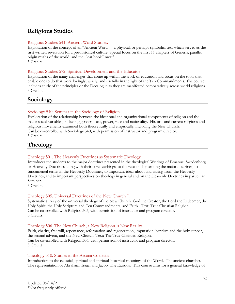# **Religious Studies**

## Religious Studies 541. Ancient Word Studies.

Exploration of the concept of an "Ancient Word"—a physical, or perhaps symbolic, text which served as the first written revelation for a pre-historical culture. Special focus on the first 11 chapters of Genesis, parallel origin myths of the world, and the "lost book" motif. 3 Credits.

## Religious Studies 572. Spiritual Development and the Educator

Exploration of the many challenges that come up within the work of education and focus on the tools that enable one to do that work lovingly, wisely, and usefully in the light of the Ten Commandments. The course includes study of the principles or the Decalogue as they are manifested comparatively across world religions. 3 Credits.

# **Sociology**

## Sociology 540. Seminar in the Sociology of Religion.

Exploration of the relationship between the ideational and organizational components of religion and the major social variables, including gender, class, power, race and nationality. Historic and current religions and religious movements examined both theoretically and empirically, including the New Church. Can be co-enrolled with Sociology 340, with permission of instructor and program director. 3 Credits.

# **Theology**

#### Theology 501. The Heavenly Doctrines as Systematic Theology.

Introduces the students to the major doctrines presented in the theological Writings of Emanuel Swedenborg or Heavenly Doctrines along with their core teachings, to the relationship among the major doctrines, to fundamental terms in the Heavenly Doctrines, to important ideas about and arising from the Heavenly Doctrines, and to important perspectives on theology in general and on the Heavenly Doctrines in particular. Seminar.

3 Credits.

#### Theology 505. Universal Doctrines of the New Church I.

Systematic survey of the universal theology of the New Church: God the Creator, the Lord the Redeemer, the Holy Spirit, the Holy Scripture and Ten Commandments, and Faith. Text: True Christian Religion. Can be co-enrolled with Religion 305, with permission of instructor and program director. 3 Credits.

#### Theology 506. The New Church, a New Religion, a New Reality.

Faith, charity, free will, repentance, reformation and regeneration, imputation, baptism and the holy supper, the second advent, and the New Church. Text: The True Christian Religion. Can be co-enrolled with Religion 306, with permission of instructor and program director. 3 Credits.

#### Theology 510. Studies in the Arcana Coelestia.

Introduction to the celestial, spiritual and spiritual-historical meanings of the Word. The ancient churches. The representation of Abraham, Isaac, and Jacob. The Exodus. This course aims for a general knowledge of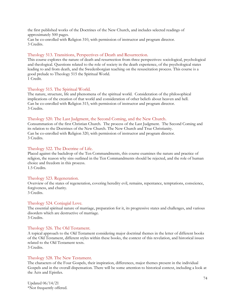the first published works of the Doctrines of the New Church, and includes selected readings of approximately 500 pages.

Can be co-enrolled with Religion 310, with permission of instructor and program director. 3 Credits.

# Theology 513. Transitions, Perspectives of Death and Resurrection.

This course explores the nature of death and resurrection from three perspectives: sociological, psychological and theological. Questions related to the role of society in the death experience, of the psychological states leading to and from death, and the Swedenborgian teaching on the resuscitation process. This course is a good prelude to Theology 515 the Spiritual World. 1 Credit.

# Theology 515. The Spiritual World.

The nature, structure, life and phenomena of the spiritual world. Consideration of the philosophical implications of the creation of that world and consideration of other beliefs about heaven and hell. Can be co-enrolled with Religion 315, with permission of instructor and program director. 3 Credits.

#### Theology 520. The Last Judgment, the Second Coming, and the New Church.

Consummation of the first Christian Church. The process of the Last Judgment. The Second Coming and its relation to the Doctrines of the New Church. The New Church and True Christianity. Can be co-enrolled with Religion 320, with permission of instructor and program director. 3 Credits.

#### Theology 522. The Doctrine of Life.

Placed against the backdrop of the Ten Commandments, this course examines the nature and practice of religion, the reason why sins outlined in the Ten Commandments should be rejected, and the role of human choice and freedom in this process.

1.5 Credits.

#### Theology 523. Regeneration.

Overview of the states of regeneration, covering heredity evil, remains, repentance, temptations, conscience, forgiveness, and charity. 3 Credits.

#### Theology 524. Conjugial Love.

The essential spiritual nature of marriage, preparation for it, its progressive states and challenges, and various disorders which are destructive of marriage.

3 Credits.

#### Theology 526. The Old Testament.

A topical approach to the Old Testament considering major doctrinal themes in the letter of different books of the Old Testament, different styles within these books, the context of this revelation, and historical issues related to the Old Testament texts.

3 Credits.

#### Theology 528. The New Testament.

The characters of the Four Gospels, their inspiration, differences, major themes present in the individual Gospels and in the overall dispensation. There will be some attention to historical context, including a look at the Acts and Epistles.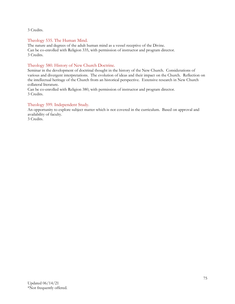3 Credits.

# Theology 535. The Human Mind.

The nature and degrees of the adult human mind as a vessel receptive of the Divine. Can be co-enrolled with Religion 335, with permission of instructor and program director. 3 Credits.

# Theology 580. History of New Church Doctrine.

Seminar in the development of doctrinal thought in the history of the New Church. Considerations of various and divergent interpretations. The evolution of ideas and their impact on the Church. Reflection on the intellectual heritage of the Church from an historical perspective. Extensive research in New Church collateral literature.

Can be co-enrolled with Religion 380, with permission of instructor and program director. 3 Credits.

# Theology 599. Independent Study.

An opportunity to explore subject matter which is not covered in the curriculum. Based on approval and availability of faculty.

3 Credits.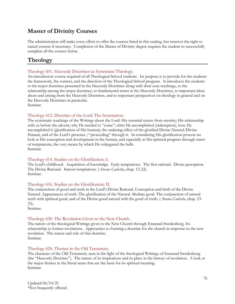# **Master of Divinity Courses**

The administration will make every effort to offer the courses listed in this catalog, but reserves the right to cancel courses if necessary. Completion of the Master of Divinity degree requires the student to successfully complete all the courses below.

# **Theology**

# Theology 601. Heavenly Doctrines as Systematic Theology.

An introductory course required of all Theological School students. Its purpose is to provide for the students the framework, the context, and the direction of the Theological School program. It introduces the students to the major doctrines presented in the Heavenly Doctrines along with their core teachings, to the relationship among the major doctrines, to fundamental terms in the Heavenly Doctrines, to important ideas about and arising from the Heavenly Doctrines, and to important perspectives on theology in general and on the Heavenly Doctrines in particular.

Seminar.

## Theology 612. Doctrine of the Lord: The Incarnation.

The systematic teachings of the Writings about the Lord: His essential nature from eternity; His relationship with us before the advent; why He needed to "come"; what He accomplished (redemption), how He accomplished it (glorification of His human); the enduring effect of the glorified Divine Natural/Divine Human, and of the Lord's presence /"proceeding" through it. In considering His glorification process we look at His conception and development in the human, and especially at His spiritual progress through states of temptations, the very means by which He subjugated the hells. Seminar.

## Theology 614. Studies on the Glorification: I.

The Lord's childhood. Acquisition of knowledge. Early temptations. The first rational. Divine perception. The Divine Rational. Inmost temptations. (*Arcana Caelestia*, chap. 12-22). Seminar.

#### Theology 616. Studies on the Glorification: II.

The conjunction of good and truth in the Lord's Divine Rational. Conception and birth of the Divine Natural. Appearances of truth. The glorification of the Natural. Mediate good. The conjunction of natural truth with spiritual good, and of the Divine good natural with the good of truth. (*Arcana Caelestia*, chap. 23- 33).

Seminar.

# Theology 620. The Revelation Given to the New Church.

The nature of the theological Writings given to the New Church through Emanuel Swedenborg. Its relationship to former revelations. Approaches to forming a doctrine for the church in response to the new revelation. The nature and role of that doctrine. Seminar.

# Theology 626. Themes in the Old Testament.

The character of the Old Testament, seen in the light of the theological Writings of Emanuel Swedenborg (the "Heavenly Doctrine"). The nature of its inspirations and its place in the history of revelation. A look at the major themes in the literal sense that are the basis for its spiritual meaning. Seminar.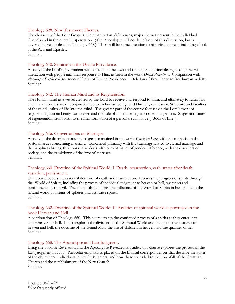#### Theology 628. New Testament Themes.

The character of the Four Gospels, their inspiration, differences, major themes present in the individual Gospels and in the overall dispensation. (The Apocalypse will not be left out of this discussion, but is covered in greater detail in Theology 668.) There will be some attention to historical context, including a look at the Acts and Epistles.

Seminar.

#### Theology 640. Seminar on the Divine Providence.

A study of the Lord's government with a focus on the laws and fundamental principles regulating the His interaction with people and their response to Him, as seen in the work *Divine Providence*. Comparison with *Apocalypse Explained* treatment of "laws of Divine Providence." Relation of Providence to free human activity. Seminar.

#### Theology 642. The Human Mind and its Regeneration.

The Human mind as a vessel created by the Lord to receive and respond to Him, and ultimately to fulfill His end in creation: a state of conjunction between human beings and Himself, i.e. heaven. Structure and faculties of the mind, influx of life into the mind. The greater part of the course focuses on the Lord's work of regenerating human beings for heaven and the role of human beings in cooperating with it. Stages and states of regeneration, from birth to the final formation of a person's ruling love ("Book of Life"). Seminar.

#### Theology 646. Conversations on Marriage.

A study of the doctrines about marriage as contained in the work, *Conjugial Love*, with an emphasis on the pastoral issues concerning marriage. Concerned primarily with the teachings related to eternal marriage and the happiness brings, this course also deals with current issues of gender difference, with the disorders of society, and the breakdown of the love of marriage. Seminar.

## Theology 660. Doctrine of the Spiritual World: I. Death, resurrection, early states after death, vastation, punishment.

This course covers the essential doctrine of death and resurrection. It traces the progress of spirits through the World of Spirits, including the process of individual judgment to heaven or hell, vastation and punishments of the evil. The course also explores the influence of the World of Spirits in human life in the natural world by means of spheres and associate spirits. Seminar.

#### Theology 662. Doctrine of the Spiritual World: II. Realities of spiritual world as portrayed in the book Heaven and Hell.

A continuation of Theology 660. This course traces the continued process of a spirits as they enter into either heaven or hell. It also explores the divisions of the Spiritual World and the distinctive features of heaven and hell, the doctrine of the Grand Man, the life of children in heaven and the qualities of hell. Seminar.

#### Theology 668. The Apocalypse and Last Judgment.

Using the book of Revelation and the Apocalypse Revealed as guides, this course explores the process of the Last Judgment in 1757. Particular emphasis is placed on the Biblical correspondences that describe the states of the church and individuals in the Christian era, and how these states led to the downfall of the Christian Church and the establishment of the New Church. Seminar.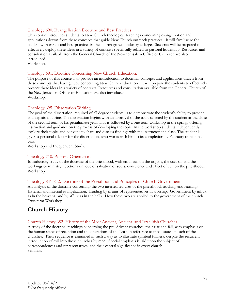## Theology 690. Evangelization Doctrine and Best Practices.

This course introduces students to New Church theological teachings concerning evangelization and applications drawn from these concepts that guide New Church outreach practices. It will familiarize the student with trends and best practices in the church growth industry at large. Students will be prepared to effectively deploy these ideas in a variety of contexts specifically related to pastoral leadership. Resources and consultation available from the General Church of the New Jerusalem Office of Outreach are also introduced.

Workshop.

#### Theology 691. Doctrine Concerning New Church Education.

The purpose of this course is to provide an introduction to doctrinal concepts and applications drawn from these concepts that have guided concerning New Church education. It will prepare the students to effectively present these ideas in a variety of contexts. Resources and consultation available from the General Church of the New Jerusalem Office of Education are also introduced. Workshop.

#### Theology 695. Dissertation Writing.

The goal of the dissertation, required of all degree students, is to demonstrate the student's ability to present and explain doctrine. The dissertation begins with an approval of the topic selected by the student at the close of the second term of his penultimate year. This is followed by a one term workshop in the spring, offering instruction and guidance on the process of developing the topic. In the workshop students independently explore their topic, and convene to share and discuss findings with the instructor and class. The student is given a personal advisor for the dissertation, who works with him to its completion by February of his final year.

Workshop and Independent Study.

#### Theology 710. Pastoral Orientation.

Introductory study of the doctrine of the priesthood, with emphasis on the origins, the uses of, and the workings of ministry. Sections on love of salvation of souls, conscience and effect of evil on the priesthood. Workshop.

#### Theology 841-842. Doctrine of the Priesthood and Principles of Church Government.

An analysis of the doctrine concerning the two interrelated uses of the priesthood, teaching and learning. External and internal evangelization. Leading by means of representatives in worship. Government by influx as in the heavens, and by afflux as in the hells. How these two are applied to the government of the church. Two-term Workshop.

# **Church History**

#### Church History 682. History of the Most Ancient, Ancient, and Israelitish Churches.

A study of the doctrinal teachings concerning the pre-Advent churches; their rise and fall, with emphasis on the human states of reception and the operations of the Lord in reference to those states in each of the churches. Their sequence is examined in such a way as to illustrate spiritual fullness, despite the recurrent introduction of evil into those churches by men. Special emphasis is laid upon the subject of correspondences and representatives, and their central significance in every church. Seminar.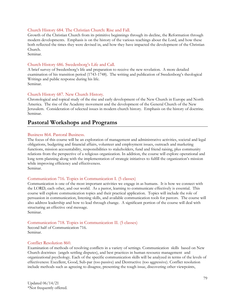#### Church History 684. The Christian Church: Rise and Fall.

Growth of the Christian Church from its primitive beginnings through its decline, the Reformation through modern developments. Emphasis is on the history of the various teachings about the Lord, and how these both reflected the times they were devised in, and how they have impacted the development of the Christian Church.

Seminar.

#### Church History 686. Swedenborg's Life and Call.

A brief survey of Swedenborg's life and preparation to receive the new revelation. A more detailed examination of his transition period (1743-1748). The writing and publication of Swedenborg's theological Writings and public response during his life. Seminar.

## Church History 687. New Church History.

Chronological and topical study of the rise and early development of the New Church in Europe and North America. The rise of the Academy movement and the development of the General Church of the New Jerusalem. Consideration of selected issues in modern church history. Emphasis on the history of doctrine. Seminar.

# **Pastoral Workshops and Programs**

#### Business 864. Pastoral Business.

The focus of this course will be an exploration of management and administrative activities, societal and legal obligations, budgeting and financial affairs, volunteer and employment issues, outreach and marketing functions, mission accountability, responsibilities to stakeholders, fund and friend raising, plus community relations from the perspective of a religious organization. In addition, the course will explore operational and long term planning along with the implementation of strategic initiatives to fulfill the organization's mission while improving efficiency and effectiveness.

Seminar.

#### Communication 716. Topics in Communication I. (5 classes)

Communication is one of the most important activities we engage in as humans. It is how we connect with the LORD, each other, and our world. As a pastor, learning to communicate effectively is essential. This course will explore communication topics and their practical application. Topics will include the role of persuasion in communication, listening skills, and available communication tools for pastors. The course will also address leadership and how to lead through change. A significant portion of the course will deal with structuring an effective oral message. Seminar.

# Communication 718. Topics in Communication II. (5 classes)

Second half of Communication 716. Seminar.

#### Conflict Resolution 860.

Examination of methods of resolving conflicts in a variety of settings. Communication skills based on New Church doctrines (angels settling disputes), and best practices in human resource management and organizational psychology. Each of the specific communication skills will be analyzed in terms of the levels of effectiveness: Excellent, Good, Sub-par (too passive) and Destructive (too aggressive). Conflict resolution include methods such as agreeing to disagree, presenting the tough issue, discovering other viewpoints,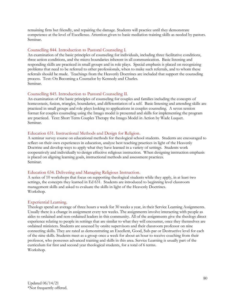remaining firm but friendly, and repairing the damage. Students will practice until they demonstrate competence at the level of Excellence. Attention given to basic mediation training skills as needed by pastors. Seminar.

#### Counselling 844. Introduction to Pastoral Counseling I.

An examination of the basic principles of counseling for individuals, including three facilitative conditions, three action conditions, and the micro boundaries inherent in all communication. Basic listening and responding skills are practiced in small groups and in role plays. Special emphasis is placed on recognizing problems that need to be referred to other professionals, when to make such referrals, and to whom these referrals should be made. Teachings from the Heavenly Doctrines are included that support the counseling process. Text: On Becoming a Counselor by Kennedy and Charles. Seminar.

#### Counselling 845. Introduction to Pastoral Counseling II.

An examination of the basic principles of counseling for couples and families including the concepts of homeostasis, fusion, triangles, boundaries, and differentiation of a self. Basic listening and attending skills are practiced in small groups and role plays looking to applications in couples counseling. A seven session format for couples counseling using the Imago model is presented and skills for implementing the program are practiced. Text: Short Term Couples Therapy the Imago Model in Action by Wade Luquet. Seminar.

#### Education 631. Instructional Methods and Design for Religion.

A seminar survey course on educational methods for theological school students. Students are encouraged to reflect on their own experiences in education, analyze best teaching practices in light of the Heavenly Doctrine and develop ways to apply what they have learned in a variety of settings. Students work cooperatively and individually to design effective religious instruction. When designing instruction emphasis is placed on aligning learning goals, instructional methods and assessment practices. Seminar.

#### Education 634. Delivering and Managing Religious Instruction.

A series of 10 workshops that focus on supporting theological students while they apply, in at least two settings, the concepts they learned in Ed 631. Students are introduced to beginning level classroom management skills and asked to evaluate the skills in light of the Heavenly Doctrines. Workshop.

#### Experiential Learning.

Theologs spend an average of three hours a week for 30 weeks a year, in their Service Learning Assignments. Usually there is a change in assignment every ten weeks. The assignments involve interacting with people as aides to ordained and non-ordained leaders in this community. All of the assignments give the theologs direct experience relating to people in settings that are similar to what they will encounter, once they themselves are ordained ministers. Students are assessed by onsite supervisors and their classroom professor on nine connecting skills. They are rated as demonstrating an Excellent, Good, Sub-par or Destructive level for each of the nine skills. Students meet as a group once a week for about an hour to receive coaching from their professor, who possesses advanced training and skills in this area. Service Learning is usually part of the curriculum for first and second year theological students, for a total of 6 terms. Workshop.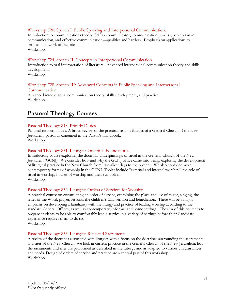#### Workshop 720. Speech I: Public Speaking and Interpersonal Communication.

Introduction to communications theory: Self as communicator, communication process, perception in communication, and effective communication—qualities and barriers. Emphasis on applications to professional work of the priest. Workshop.

#### Workshop 724. Speech II: Concepts in Interpersonal Communication.

Introduction to oral interpretation of literature. Advanced interpersonal communication theory and skills development.

Workshop.

#### Workshop 728. Speech III: Advanced Concepts in Public Speaking and Interpersonal Communication.

Advanced interpersonal communication theory, skills development, and practice. Workshop.

# **Pastoral Theology Courses**

#### Pastoral Theology 848. Priestly Duties.

Pastoral responsibilities. A broad review of the practical responsibilities of a General Church of the New Jerusalem pastor as contained in the Pastor's Handbook. Workshop.

#### Pastoral Theology 851. Liturgics: Doctrinal Foundations.

Introductory course exploring the doctrinal underpinnings of ritual in the General Church of the New Jerusalem (GCNJ). We consider how and why the GCNJ office came into being, exploring the development of liturgical practice in the New Church from its earliest days to the present. We also consider more contemporary forms of worship in the GCNJ. Topics include "external and internal worship," the role of ritual in worship, houses of worship and their symbolism. Workshop.

#### Pastoral Theology 852. Liturgics: Orders of Services for Worship.

A practical course on constructing an order of service, examining the place and use of music, singing, the letter of the Word, prayer, lessons, the children's talk, sermon and benediction. There will be a major emphasis on developing a familiarity with the liturgy and practice of leading worship according to the standard General Offices, as well as contemporary, informal and home settings. The aim of this course is to prepare students to be able to comfortably lead a service in a variety of settings before their Candidate experience requires them to do so.

Workshop.

#### Pastoral Theology 853. Liturgics: Rites and Sacraments.

A review of the doctrines associated with liturgics with a focus on the doctrines surrounding the sacraments and rites of the New Church. We look at current practice in the General Church of the New Jerusalem: how the sacraments and rites are performed as described in the Liturgy and as adapted to various circumstances and needs. Design of orders of service and practice are a central part of this workshop. Workshop.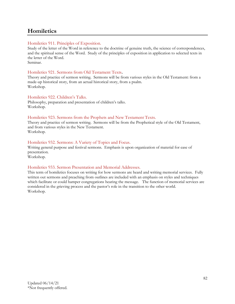# **Homiletics**

# Homiletics 911. Principles of Exposition.

Study of the letter of the Word in reference to the doctrine of genuine truth, the science of correspondences, and the spiritual sense of the Word. Study of the principles of exposition in application to selected texts in the letter of the Word. Seminar.

# Homiletics 921. Sermons from Old Testament Texts**.**

Theory and practice of sermon writing. Sermons will be from various styles in the Old Testament: from a made-up historical story, from an actual historical story, from a psalm. Workshop.

# Homiletics 922. Children's Talks.

Philosophy, preparation and presentation of children's talks. Workshop.

## Homiletics 923. Sermons from the Prophets and New Testament Texts.

Theory and practice of sermon writing. Sermons will be from the Prophetical style of the Old Testament, and from various styles in the New Testament. Workshop.

# Homiletics 932. Sermons: A Variety of Topics and Focus.

Writing general purpose and festival sermons. Emphasis is upon organization of material for ease of presentation.

Workshop.

# Homiletics 933. Sermon Presentation and Memorial Addresses.

This term of homiletics focuses on writing for how sermons are heard and writing memorial services. Fully written out sermons and preaching from outlines are included with an emphasis on styles and techniques which facilitate or could hamper congregations hearing the message. The function of memorial services are considered in the grieving process and the pastor's role in the transition to the other world. Workshop.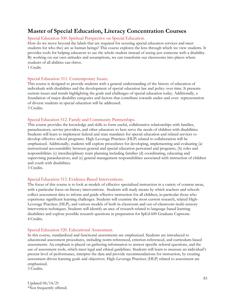# **Master of Special Education, Literacy Concentration Courses**

# Special Education 500. Spiritual Perspective on Special Education.

How do we move beyond the labels that are required for securing special education services and meet students for who they are as human beings? This course explores the lens through which we view students. It provides tools for helping educators to see the whole student instead of seeing just someone with a disability. By working on our own attitudes and assumptions, we can transform our classrooms into places where students of all abilities can thrive.

1 Credit.

#### Special Education 511. Contemporary Issues.

This course is designed to provide students with a general understanding of the history of education of individuals with disabilities and the development of special education law and policy over time. It presents current issues and trends highlighting the goals and challenges of special education today. Additionally, a foundation of major disability categories and factors that contribute towards under-and over- representation of diverse students in special education will be addressed. 3 Credits.

#### Special Education 512. Family and Community Partnerships.

This course provides the knowledge and skills to form useful, collaborative relationships with families, paraeducators, service providers, and other educators to best serve the needs of children with disabilities. Students will learn to implement federal and state mandates for special education and related services to develop effective school programs. High-Leverage Practices (HLP) related to collaboration will be emphasized. Additionally, students will explore procedures for developing, implementing and evaluating (a) instructional accountability between general and special education personnel and programs, (b) roles and responsibilities (c) interdisciplinary team planning including families (d) coordinating, educating and supervising paraeducators, and (e) general management responsibilities associated with instruction of children and youth with disabilities.

3 Credits.

#### Special Education 513. Evidence-Based Interventions.

The focus of this course is to look at models of effective specialized instruction in a variety of content areas, with a particular focus on literacy interventions. Students will study means by which teachers and schools collect assessment data to inform and guide effective instruction for all children, in particular those who experience significant learning challenges. Students will examine the most current research, related High-Leverage Practices (HLP), and various models of both in-classroom and out-of-classroom multi-sensory intervention techniques. Students will identify an area of research related to language-based learning disabilities and explore possible research questions in preparation for SpEd 600 Graduate Capstone.    4 Credits.

#### Special Education 520. Educational Assessment.

In this course, standardized and functional assessments are emphasized. Students are introduced to educational assessment procedures, including norm-referenced, criterion-referenced, and curriculum-based assessments. An emphasis is placed on gathering information to answer specific referral questions, and the use of assessment tools, which meet legal and ethical guidelines. Students will learn to measure an individual's present level of performance, interpret the data and provide recommendations for instruction, by creating assessment driven learning goals and objectives. High-Leverage Practices (HLP) related to assessment are emphasized.

3 Credits.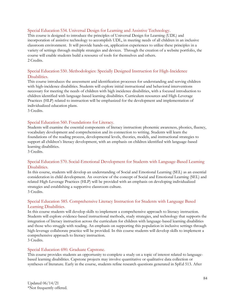## Special Education 534. Universal Design for Learning and Assistive Technology.

This course is designed to introduce the principles of Universal Design for Learning (UDL) and incorporation of assistive technology to accomplish UDL, in meeting needs of all children in an inclusive classroom environment. It will provide hands-on, application experiences to utilize these principles in a variety of settings through multiple strategies and devices. Through the creation of a website portfolio, the course will enable students build a resource of tools for themselves and others.     2 Credits.

# Special Education 550. Methodologies: Specially Designed Instruction for High-Incidence Disabilities.

This course introduces the assessment and identification processes for understanding and serving children with high-incidence disabilities. Students will explore initial instructional and behavioral interventions necessary for meeting the needs of children with high incidence disabilities, with a focused introduction to children identified with language-based learning disabilities. Curriculum resources and High-Leverage Practices (HLP) related to instruction will be emphasized for the development and implementation of individualized education plans.  

3 Credits.

## Special Education 560. Foundations for Literacy.

Students will examine the essential components of literacy instruction: phonemic awareness, phonics, fluency, vocabulary development and comprehension and its connection to writing. Students will learn the foundations of the reading process, developmental levels, theories, models, and instructional strategies to support all children's literacy development, with an emphasis on children identified with language-based learning disabilities.

3 Credits.

# Special Education 570. Social-Emotional Development for Students with Language-Based Learning Disabilities.

In this course, students will develop an understanding of Social and Emotional Learning (SEL) as an essential consideration in child development. An overview of the concept of Social and Emotional Learning (SEL) and related High-Leverage Practices (HLP) will be provided with an emphasis on developing individualized strategies and establishing a supportive classroom culture. 3 Credits.

# Special Education 585. Comprehensive Literacy Instruction for Students with Language Based Learning Disabilities.

In this course students will develop skills to implement a comprehensive approach to literacy instruction. Students will explore evidence-based instructional methods, study strategies, and technology that supports the integration of literacy instruction across the curriculum for children with language-based learning disabilities and those who struggle with reading. An emphasis on supporting this population in inclusive settings through high-leverage collaborate practice will be provided. In this course students will develop skills to implement a comprehensive approach to literacy instruction.

3 Credits.

#### Special Education 690. Graduate Capstone.

This course provides students an opportunity to complete a study on a topic of interest related to languagebased learning disabilities. Capstone projects may involve quantitative or qualitative data collection or syntheses of literature. Early in the course, students refine research questions generated in SpEd 513. After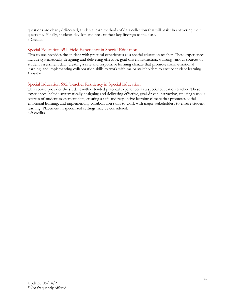questions are clearly delineated, students learn methods of data collection that will assist in answering their questions. Finally, students develop and present their key findings to the class. 3 Credits.

#### Special Education 691. Field Experience in Special Education.

This course provides the student with practical experiences as a special education teacher. These experiences include systematically designing and delivering effective, goal-driven instruction, utilizing various sources of student assessment data, creating a safe and responsive learning climate that promote social-emotional learning, and implementing collaboration skills to work with major stakeholders to ensure student learning. 3 credits.

# Special Education 692. Teacher Residency in Special Education.

This course provides the student with extended practical experiences as a special education teacher. These experiences include systematically designing and delivering effective, goal-driven instruction, utilizing various sources of student assessment data, creating a safe and responsive learning climate that promotes socialemotional learning, and implementing collaboration skills to work with major stakeholders to ensure student learning. Placement in specialized settings may be considered. 6-9 credits.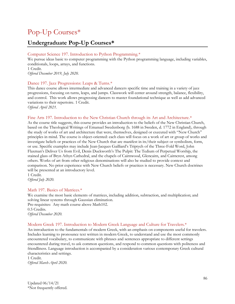# Pop-Up Courses\*

# **Undergraduate Pop-Up Courses\***

# Computer Science 197. Introduction to Python Programming.\*

We pursue ideas basic to computer programming with the Python programming language, including variables, conditionals, loops, arrays, and functions. 1 Credit.

*Offered December 2019, July 2020.*

## Dance 197. Jazz Progressions: Leaps & Turns.\*

This dance course allows intermediate and advanced dancers specific time and training in a variety of jazz progressions, focusing on turns, leaps, and jumps. Classwork will center around strength, balance, flexibility, and control. This work allows progressing dancers to master foundational technique as well as add advanced variations to their repertoire. 1 Credit.

*Offered April 2021.*

## Fine Arts 197. Introduction to the New Christian Church through its Art and Architecture.<sup>\*</sup>

As the course title suggests, this course provides an introduction to the beliefs of the New Christian Church, based on the Theological Writings of Emanuel Swedenborg (b. 1688 in Sweden, d. 1772 in England), through the study of works of art and architecture that were, themselves, designed or executed with "New Church" principles in mind. The course is object-oriented: each class will focus on a work of art or group of works and investigate beliefs or practices of the New Church that are manifest in its/their subject or symbolism, form, or use. Specific examples may include Jean-Jacques Gailliard's Triptych of the Three-Fold Word, John Flaxman's Deliver Us from Evil, Denis Duckworth's The Pulpit: The Tedium of Perpetual Worship, the stained glass of Bryn Athyn Cathedral, and the chapels of Cairnwood, Glencairn, and Cairncrest, among others. Works of art from other religious denominations will also be studied to provide context and comparison. No prior experience with New Church beliefs or practices is necessary. New Church doctrines will be presented at an introductory level.

1 Credit. *Offered July 2020.*

# Math 197. Basics of Matrices.\*

We examine the most basic elements of matrices, including addition, subtraction, and multiplication; and solving linear systems through Gaussian elimination. Pre-requisites: Any math course above Math102. 0.5 Credits. *Offered December 2020.*

# Modern Greek 197. Introduction to Modern Greek Language and Culture for Travelers.\*

An introduction to the fundamentals of modern Greek, with an emphasis on components useful for travelers. Includes learning to pronounce text written in modern Greek, to understand and use the most commonly encountered vocabulary, to communicate with phrases and sentences appropriate to different settings encountered during travel, to ask common questions, and respond to common questions with politeness and friendliness. Language introduction is accompanied by a consideration various contemporary Greek cultural characteristics and settings.

1 Credit. *Offered March-April 2020.*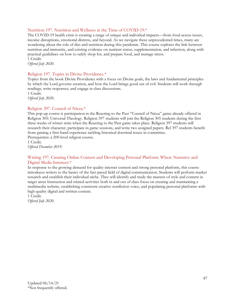# Nutrition 197. Nutrition and Wellness in the Time of COVID-19.\*

The COVID-19 health crisis is creating a range of unique and individual impacts—from food access issues, income disruptions, emotional distress, and beyond. As we navigate these unprecedented times, many are wondering about the role of diet and nutrition during this pandemic. This course explores the link between nutrition and immunity, and existing evidence on nutrient status, supplementation, and infection, along with practical guidelines on how to safely shop for, and prepare food, and manage stress. 1 Credit.

*Offered July 2020.*

## Religion 197. Topics in Divine Providence.\*

Topics from the book Divine Providence with a focus on Divine goals, the laws and fundamental principles by which the Lord governs creation, and how the Lord brings good out of evil. Students will work through readings, write responses, and engage in class discussions.

1 Credit. *Offered July 2020.*

#### Religion 397. Council of Nicea.\*

This pop-up course is participation in the Reacting to the Past "Council of Nicea" game already offered in Religion 305: Universal Theology. Religion 397 students will join the Religion 305 students during the first three weeks of winter term when the Reacting to the Past game takes place. Religion 397 students will research their character, participate in game sessions, and write two assigned papers. Rel 397 students benefit from gaining a first-hand experience tackling historical doctrinal issues in committee.

Prerequisites: a 200-level religion course.

1 Credit. *Offered December 2019.*

## Writing 197. Creating Online Content and Developing Personal Platform: Where Narrative and Digital Media Intersect.\*

In response to the growing demand for quality internet content and strong personal platform, this course introduces writers to the basics of the fast-paced field of digital communication. Students will perform market research and establish their individual niche. They will identify and study the masters of style and content in target areas Instruction and related activities both in and out of class focus on creating and maintaining a multimedia website, establishing consistent creative nonfiction voice, and populating personal platforms with high quality digital and written content.

1 Credit. *Offered July 2020.*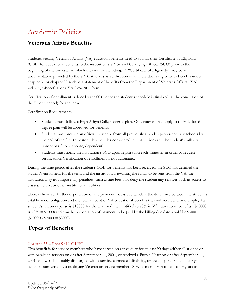# Academic Policies

# **Veterans Affairs Benefits**

Students seeking Veteran's Affairs (VA) education benefits need to submit their Certificate of Eligibility (COE) for educational benefits to the institution's VA School Certifying Official (SCO) prior to the beginning of the trimester in which they will be attending. A "Certificate of Eligibility" may be any documentation provided by the VA that serves as verification of an individual's eligibility to benefits under chapter 31 or chapter 33 such as a statement of benefits from the Department of Veterans Affairs' (VA) website, e-Benefits, or a VAF 28-1905 form.

Certification of enrollment is done by the SCO once the student's schedule is finalized (at the conclusion of the "drop" period) for the term.

Certification Requirements:

- Students must follow a Bryn Athyn College degree plan. Only courses that apply to their declared degree plan will be approved for benefits.
- Students must provide an official transcript from all previously attended post-secondary schools by the end of the first trimester. This includes non-accredited institutions and the student's military transcript (if not a spouse/dependent).
- Students must notify the institution's SCO upon registration each trimester in order to request certification. Certification of enrollment is not automatic.

During the time period after the student's COE for benefits has been received, the SCO has certified the student's enrollment for the term and the institution is awaiting the funds to be sent from the VA, the institution may not impose any penalties, such as late fees, nor deny the student any services such as access to classes, library, or other institutional facilities.

There is however further expectation of any payment that is due which is the difference between the student's total financial obligation and the total amount of VA educational benefits they will receive. For example, if a student's tuition expense is \$10000 for the term and their entitled to 70% in VA educational benefits, (\$10000  $X$  70% = \$7000) their further expectation of payment to be paid by the billing due date would be \$3000,  $($10000 - $7000 = $3000).$ 

# **Types of Benefits**

# Chapter 33 – Post 9/11 GI Bill

This benefit is for service members who have served on active duty for at least 90 days (either all at once or with breaks in service) on or after September 11, 2001, or received a Purple Heart on or after September 11, 2001, and were honorably discharged with a service-connected disability, or are a dependent child using benefits transferred by a qualifying Veteran or service member. Service members with at least 3 years of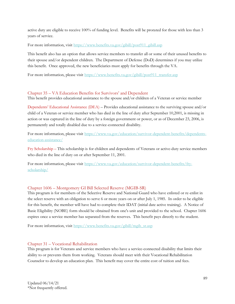active duty are eligible to receive 100% of funding level. Benefits will be prorated for those with less than 3 years of service.

For more information, visit [https://www.benefits.va.gov/gibill/post911\\_gibill.asp](https://www.benefits.va.gov/gibill/post911_gibill.asp)

This benefit also has an option that allows service members to transfer all or some of their unused benefits to their spouse and/or dependent children. The Department of Defense (DoD) determines if you may utilize this benefit. Once approved, the new beneficiaries must apply for benefits through the VA.

For more information, please visit [https://www.benefits.va.gov/gibill/post911\\_transfer.asp](https://www.benefits.va.gov/gibill/post911_transfer.asp)

# Chapter 35 – VA Education Benefits for Survivors' and Dependent

This benefit provides educational assistance to the spouse and/or children of a Veteran or service member

Dependents' Educational Assistance (DEA) – Provides educational assistance to the surviving spouse and/or child of a Veteran or service member who has died in the line of duty after September 10,2001, is missing in action or was captured in the line of duty by a foreign government or power, or as of December 23, 2006, is permanently and totally disabled due to a service-connected disability.

For more information, please visit [https://www.va.gov/education/survivor-dependent-benefits/dependents](https://www.va.gov/education/survivor-dependent-benefits/dependents-education-assistance/)[education-assistance/](https://www.va.gov/education/survivor-dependent-benefits/dependents-education-assistance/)

Fry Scholarship – This scholarship is for children and dependents of Veterans or active-duty service members who died in the line of duty on or after September 11, 2001.

For more information, please visit [https://www.va.gov/education/survivor-dependent-benefits/fry](https://www.va.gov/education/survivor-dependent-benefits/fry-scholarship/)[scholarship/](https://www.va.gov/education/survivor-dependent-benefits/fry-scholarship/)

# Chapter 1606 – Montgomery GI Bill Selected Reserve (MGIB-SR)

This program is for members of the Selective Reserve and National Guard who have enlisted or re-enlist in the select reserve with an obligation to serve 6 or more years on or after July 1, 1985. In order to be eligible for this benefit, the member will have had to complete their IDAT (initial date active training). A Notice of Basic Eligibility (NOBE) form should be obtained from one's unit and provided to the school. Chapter 1606 expires once a service member has separated from the reserves. This benefit pays directly to the student.

For more information, visit [https://www.benefits.va.gov/gibill/mgib\\_sr.asp](https://www.benefits.va.gov/gibill/mgib_sr.asp)

# Chapter 31 – Vocational Rehabilitation

This program is for Veterans and service members who have a service-connected disability that limits their ability to or prevents them from working. Veterans should meet with their Vocational Rehabilitation Counselor to develop an education plan. This benefit may cover the entire cost of tuition and fees.